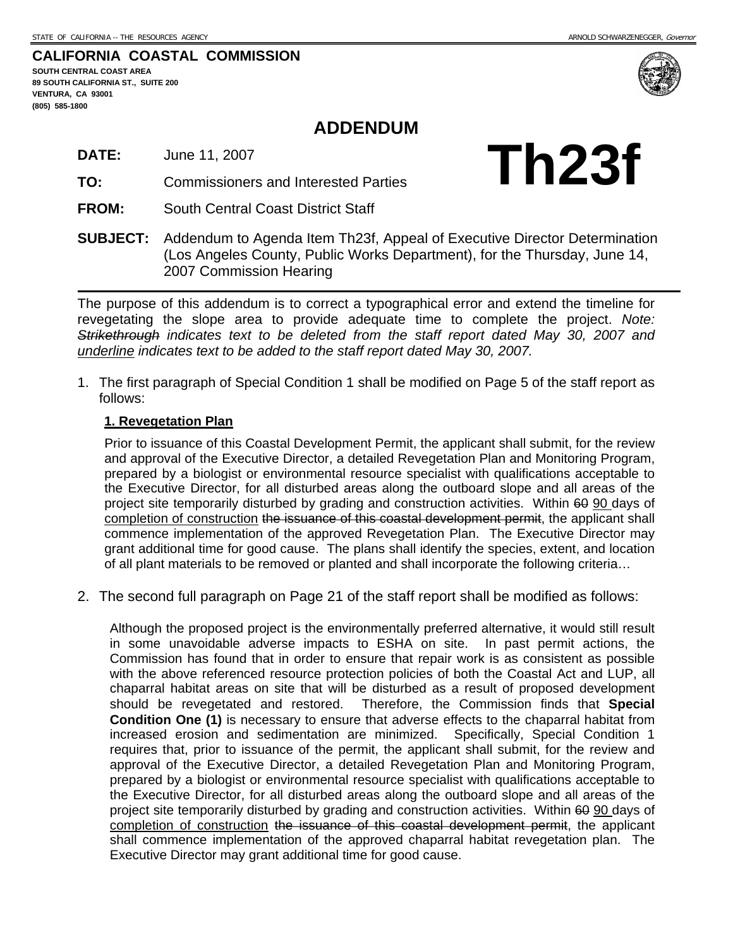<span id="page-0-0"></span>**CALIFORNIA COASTAL COMMISSION** 

**SOUTH CENTRAL COAST AREA 89 SOUTH CALIFORNIA ST., SUITE 200 VENTURA, CA 93001 (805) 585-1800** 

## **ADDENDUM**

**TO:** Commissioners and Interested Parties

**FROM:** South Central Coast District Staff



**SUBJECT:** Addendum to Agenda Item Th23f, Appeal of Executive Director Determination (Los Angeles County, Public Works Department), for the Thursday, June 14, 2007 Commission Hearing

The purpose of this addendum is to correct a typographical error and extend the timeline for revegetating the slope area to provide adequate time to complete the project. *Note: Strikethrough indicates text to be deleted from the staff report dated May 30, 2007 and underline indicates text to be added to the staff report dated May 30, 2007.*

1. The first paragraph of Special Condition 1 shall be modified on Page 5 of the staff report as follows:

#### **1. Revegetation Plan**

Prior to issuance of this Coastal Development Permit, the applicant shall submit, for the review and approval of the Executive Director, a detailed Revegetation Plan and Monitoring Program, prepared by a biologist or environmental resource specialist with qualifications acceptable to the Executive Director, for all disturbed areas along the outboard slope and all areas of the project site temporarily disturbed by grading and construction activities. Within 60 90 days of completion of construction the issuance of this coastal development permit, the applicant shall commence implementation of the approved Revegetation Plan. The Executive Director may grant additional time for good cause. The plans shall identify the species, extent, and location of all plant materials to be removed or planted and shall incorporate the following criteria…

2. The second full paragraph on Page 21 of the staff report shall be modified as follows:

Although the proposed project is the environmentally preferred alternative, it would still result in some unavoidable adverse impacts to ESHA on site. In past permit actions, the Commission has found that in order to ensure that repair work is as consistent as possible with the above referenced resource protection policies of both the Coastal Act and LUP, all chaparral habitat areas on site that will be disturbed as a result of proposed development should be revegetated and restored. Therefore, the Commission finds that **Special Condition One ([1\)](#page-0-0)** is necessary to ensure that adverse effects to the chaparral habitat from increased erosion and sedimentation are minimized. Specifically, Special Condition 1 requires that, prior to issuance of the permit, the applicant shall submit, for the review and approval of the Executive Director, a detailed Revegetation Plan and Monitoring Program, prepared by a biologist or environmental resource specialist with qualifications acceptable to the Executive Director, for all disturbed areas along the outboard slope and all areas of the project site temporarily disturbed by grading and construction activities. Within 60 90 days of completion of construction the issuance of this coastal development permit, the applicant shall commence implementation of the approved chaparral habitat revegetation plan. The Executive Director may grant additional time for good cause.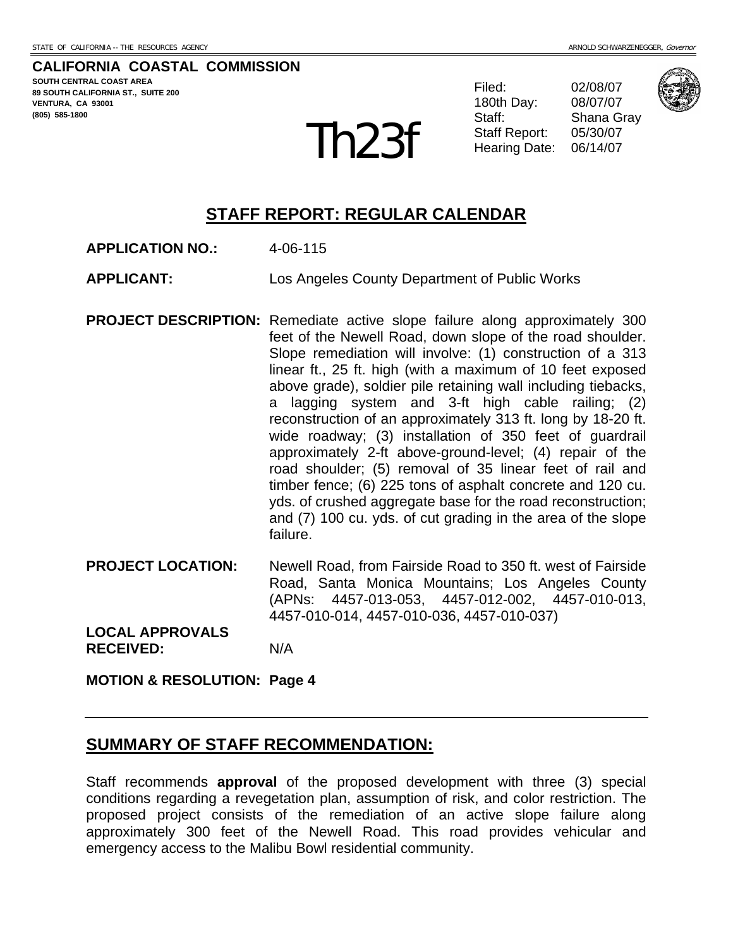**CALIFORNIA COASTAL COMMISSION SOUTH CENTRAL COAST AREA 89 SOUTH CALIFORNIA ST., SUITE 200 VENTURA, CA 93001 (805) 585-1800** 

Filed: 02/08/07 180th Day: 08/07/07 Staff: Shana Gray  $\text{Th23f}$  Staff Report: 05/30/07



## **STAFF REPORT: REGULAR CALENDAR**

- **APPLICATION NO.:** 4-06-115
- **APPLICANT:** Los Angeles County Department of Public Works
- **PROJECT DESCRIPTION:** Remediate active slope failure along approximately 300 feet of the Newell Road, down slope of the road shoulder. Slope remediation will involve: (1) construction of a 313 linear ft., 25 ft. high (with a maximum of 10 feet exposed above grade), soldier pile retaining wall including tiebacks, a lagging system and 3-ft high cable railing; (2) reconstruction of an approximately 313 ft. long by 18-20 ft. wide roadway; (3) installation of 350 feet of guardrail approximately 2-ft above-ground-level; (4) repair of the road shoulder; (5) removal of 35 linear feet of rail and timber fence; (6) 225 tons of asphalt concrete and 120 cu. yds. of crushed aggregate base for the road reconstruction; and (7) 100 cu. yds. of cut grading in the area of the slope failure.
- **PROJECT LOCATION:** Newell Road, from Fairside Road to 350 ft. west of Fairside Road, Santa Monica Mountains; Los Angeles County (APNs: 4457-013-053, 4457-012-002, 4457-010-013, 4457-010-014, 4457-010-036, 4457-010-037)

**LOCAL APPROVALS RECEIVED:** N/A

**MOTION & RESOLUTION: Page 4** 

## **SUMMARY OF STAFF RECOMMENDATION:**

Staff recommends **approval** of the proposed development with three (3) special conditions regarding a revegetation plan, assumption of risk, and color restriction. The proposed project consists of the remediation of an active slope failure along approximately 300 feet of the Newell Road. This road provides vehicular and emergency access to the Malibu Bowl residential community.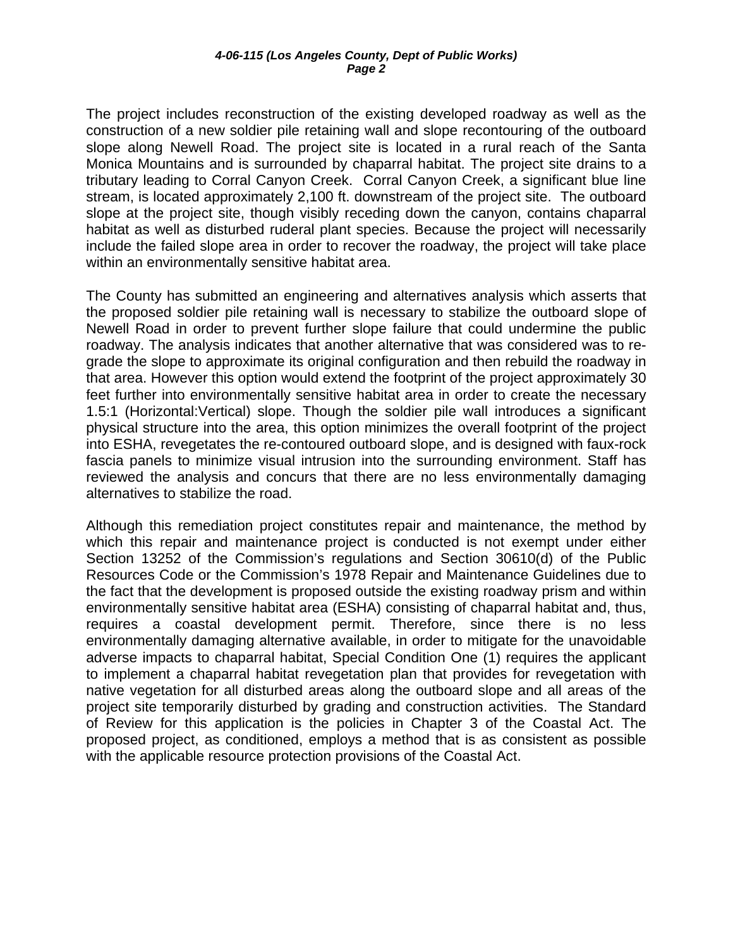The project includes reconstruction of the existing developed roadway as well as the construction of a new soldier pile retaining wall and slope recontouring of the outboard slope along Newell Road. The project site is located in a rural reach of the Santa Monica Mountains and is surrounded by chaparral habitat. The project site drains to a tributary leading to Corral Canyon Creek. Corral Canyon Creek, a significant blue line stream, is located approximately 2,100 ft. downstream of the project site. The outboard slope at the project site, though visibly receding down the canyon, contains chaparral habitat as well as disturbed ruderal plant species. Because the project will necessarily include the failed slope area in order to recover the roadway, the project will take place within an environmentally sensitive habitat area.

The County has submitted an engineering and alternatives analysis which asserts that the proposed soldier pile retaining wall is necessary to stabilize the outboard slope of Newell Road in order to prevent further slope failure that could undermine the public roadway. The analysis indicates that another alternative that was considered was to regrade the slope to approximate its original configuration and then rebuild the roadway in that area. However this option would extend the footprint of the project approximately 30 feet further into environmentally sensitive habitat area in order to create the necessary 1.5:1 (Horizontal:Vertical) slope. Though the soldier pile wall introduces a significant physical structure into the area, this option minimizes the overall footprint of the project into ESHA, revegetates the re-contoured outboard slope, and is designed with faux-rock fascia panels to minimize visual intrusion into the surrounding environment. Staff has reviewed the analysis and concurs that there are no less environmentally damaging alternatives to stabilize the road.

Although this remediation project constitutes repair and maintenance, the method by which this repair and maintenance project is conducted is not exempt under either Section 13252 of the Commission's regulations and Section 30610(d) of the Public Resources Code or the Commission's 1978 Repair and Maintenance Guidelines due to the fact that the development is proposed outside the existing roadway prism and within environmentally sensitive habitat area (ESHA) consisting of chaparral habitat and, thus, requires a coastal development permit. Therefore, since there is no less environmentally damaging alternative available, in order to mitigate for the unavoidable adverse impacts to chaparral habitat, Special Condition One (1) requires the applicant to implement a chaparral habitat revegetation plan that provides for revegetation with native vegetation for all disturbed areas along the outboard slope and all areas of the project site temporarily disturbed by grading and construction activities. The Standard of Review for this application is the policies in Chapter 3 of the Coastal Act. The proposed project, as conditioned, employs a method that is as consistent as possible with the applicable resource protection provisions of the Coastal Act.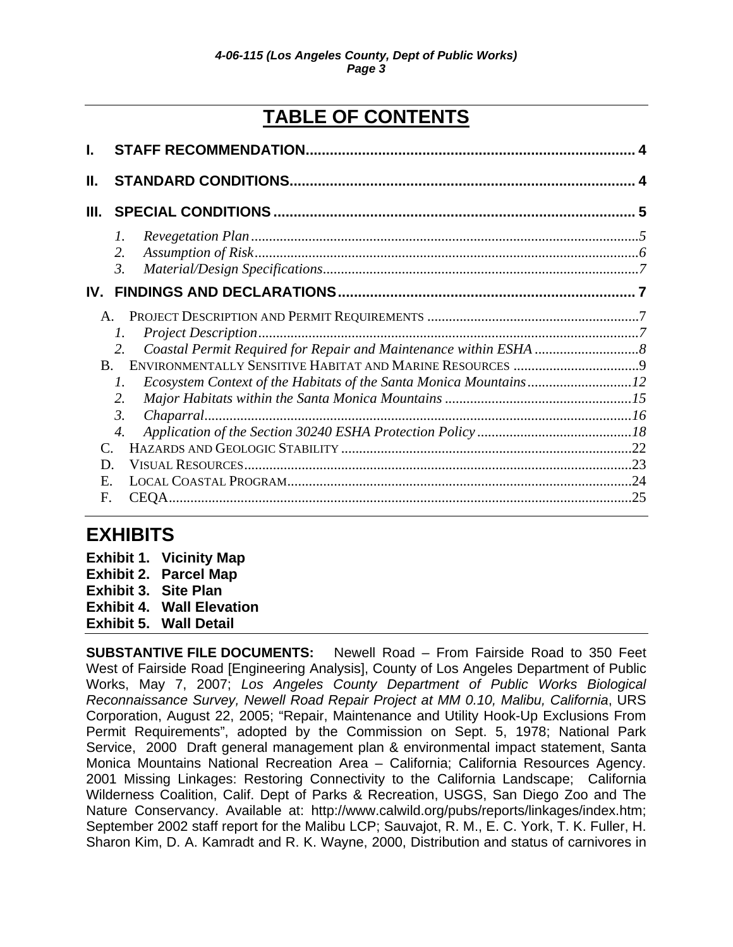# **TABLE OF CONTENTS**

| <b>STAFF RECOMMENDATION.</b> |                     |
|------------------------------|---------------------|
|                              |                     |
|                              | 5                   |
| 1.                           |                     |
| 2.                           |                     |
| $\mathfrak{Z}$ .             |                     |
|                              |                     |
|                              |                     |
| 1.                           |                     |
| $2^{1}$                      |                     |
|                              |                     |
| 1.                           |                     |
| 2.                           |                     |
| 3.                           |                     |
| 4.                           |                     |
|                              |                     |
|                              |                     |
|                              |                     |
| <b>CEOA</b>                  | .25                 |
| F.                           | $\bf{B}$<br>D<br>E. |

# **EXHIBITS**

|                             | <b>Exhibit 1. Vicinity Map</b>   |
|-----------------------------|----------------------------------|
|                             | <b>Exhibit 2. Parcel Map</b>     |
| <b>Exhibit 3. Site Plan</b> |                                  |
|                             | <b>Exhibit 4. Wall Elevation</b> |
|                             | <b>Exhibit 5. Wall Detail</b>    |

**SUBSTANTIVE FILE DOCUMENTS:** Newell Road – From Fairside Road to 350 Feet West of Fairside Road [Engineering Analysis], County of Los Angeles Department of Public Works, May 7, 2007; *Los Angeles County Department of Public Works Biological Reconnaissance Survey, Newell Road Repair Project at MM 0.10, Malibu, California*, URS Corporation, August 22, 2005; "Repair, Maintenance and Utility Hook-Up Exclusions From Permit Requirements", adopted by the Commission on Sept. 5, 1978; National Park Service, 2000 Draft general management plan & environmental impact statement, Santa Monica Mountains National Recreation Area – California; California Resources Agency. 2001 Missing Linkages: Restoring Connectivity to the California Landscape; California Wilderness Coalition, Calif. Dept of Parks & Recreation, USGS, San Diego Zoo and The Nature Conservancy. Available at: [http://www.calwild.org/pubs/reports/linkages/index.htm;](http://www.calwild.org/pubs/reports/linkages/index.htm) September 2002 staff report for the Malibu LCP; Sauvajot, R. M., E. C. York, T. K. Fuller, H. Sharon Kim, D. A. Kamradt and R. K. Wayne, 2000, Distribution and status of carnivores in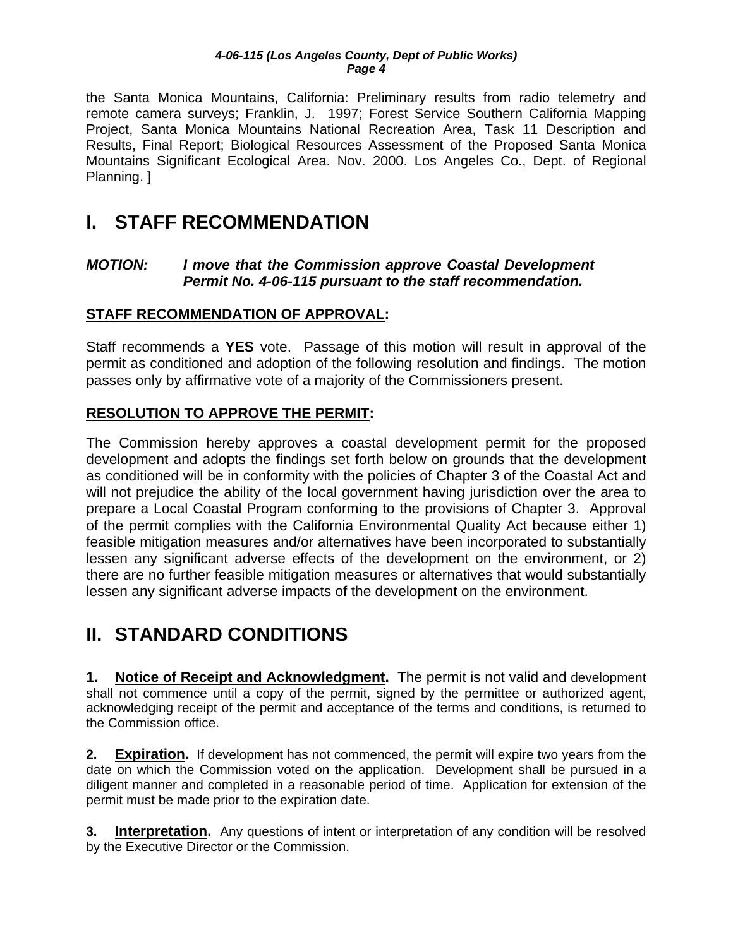<span id="page-4-0"></span>the Santa Monica Mountains, California: Preliminary results from radio telemetry and remote camera surveys; Franklin, J. 1997; Forest Service Southern California Mapping Project, Santa Monica Mountains National Recreation Area, Task 11 Description and Results, Final Report; Biological Resources Assessment of the Proposed Santa Monica Mountains Significant Ecological Area. Nov. 2000. Los Angeles Co., Dept. of Regional Planning. ]

# **I. STAFF RECOMMENDATION**

## *MOTION: I move that the Commission approve Coastal Development Permit No. 4-06-115 pursuant to the staff recommendation.*

## **STAFF RECOMMENDATION OF APPROVAL:**

Staff recommends a **YES** vote. Passage of this motion will result in approval of the permit as conditioned and adoption of the following resolution and findings. The motion passes only by affirmative vote of a majority of the Commissioners present.

## **RESOLUTION TO APPROVE THE PERMIT:**

The Commission hereby approves a coastal development permit for the proposed development and adopts the findings set forth below on grounds that the development as conditioned will be in conformity with the policies of Chapter 3 of the Coastal Act and will not prejudice the ability of the local government having jurisdiction over the area to prepare a Local Coastal Program conforming to the provisions of Chapter 3. Approval of the permit complies with the California Environmental Quality Act because either 1) feasible mitigation measures and/or alternatives have been incorporated to substantially lessen any significant adverse effects of the development on the environment, or 2) there are no further feasible mitigation measures or alternatives that would substantially lessen any significant adverse impacts of the development on the environment.

# **II. STANDARD CONDITIONS**

**1. Notice of Receipt and Acknowledgment.** The permit is not valid and development shall not commence until a copy of the permit, signed by the permittee or authorized agent, acknowledging receipt of the permit and acceptance of the terms and conditions, is returned to the Commission office.

**2. Expiration.** If development has not commenced, the permit will expire two years from the date on which the Commission voted on the application. Development shall be pursued in a diligent manner and completed in a reasonable period of time. Application for extension of the permit must be made prior to the expiration date.

**3.** Interpretation. Any questions of intent or interpretation of any condition will be resolved by the Executive Director or the Commission.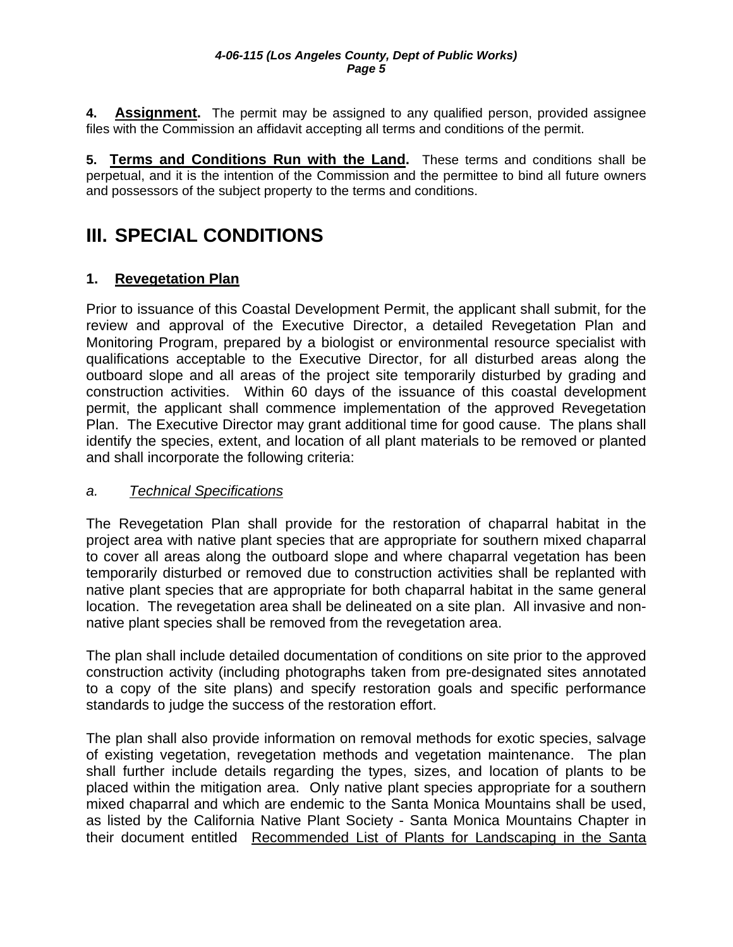<span id="page-5-0"></span>**4. Assignment.** The permit may be assigned to any qualified person, provided assignee files with the Commission an affidavit accepting all terms and conditions of the permit.

**5. Terms and Conditions Run with the Land.** These terms and conditions shall be perpetual, and it is the intention of the Commission and the permittee to bind all future owners and possessors of the subject property to the terms and conditions.

# **III. SPECIAL CONDITIONS**

## **1. Revegetation Plan**

Prior to issuance of this Coastal Development Permit, the applicant shall submit, for the review and approval of the Executive Director, a detailed Revegetation Plan and Monitoring Program, prepared by a biologist or environmental resource specialist with qualifications acceptable to the Executive Director, for all disturbed areas along the outboard slope and all areas of the project site temporarily disturbed by grading and construction activities. Within 60 days of the issuance of this coastal development permit, the applicant shall commence implementation of the approved Revegetation Plan. The Executive Director may grant additional time for good cause. The plans shall identify the species, extent, and location of all plant materials to be removed or planted and shall incorporate the following criteria:

#### *a. Technical Specifications*

The Revegetation Plan shall provide for the restoration of chaparral habitat in the project area with native plant species that are appropriate for southern mixed chaparral to cover all areas along the outboard slope and where chaparral vegetation has been temporarily disturbed or removed due to construction activities shall be replanted with native plant species that are appropriate for both chaparral habitat in the same general location. The revegetation area shall be delineated on a site plan. All invasive and nonnative plant species shall be removed from the revegetation area.

The plan shall include detailed documentation of conditions on site prior to the approved construction activity (including photographs taken from pre-designated sites annotated to a copy of the site plans) and specify restoration goals and specific performance standards to judge the success of the restoration effort.

The plan shall also provide information on removal methods for exotic species, salvage of existing vegetation, revegetation methods and vegetation maintenance. The plan shall further include details regarding the types, sizes, and location of plants to be placed within the mitigation area. Only native plant species appropriate for a southern mixed chaparral and which are endemic to the Santa Monica Mountains shall be used, as listed by the California Native Plant Society - Santa Monica Mountains Chapter in their document entitled Recommended List of Plants for Landscaping in the Santa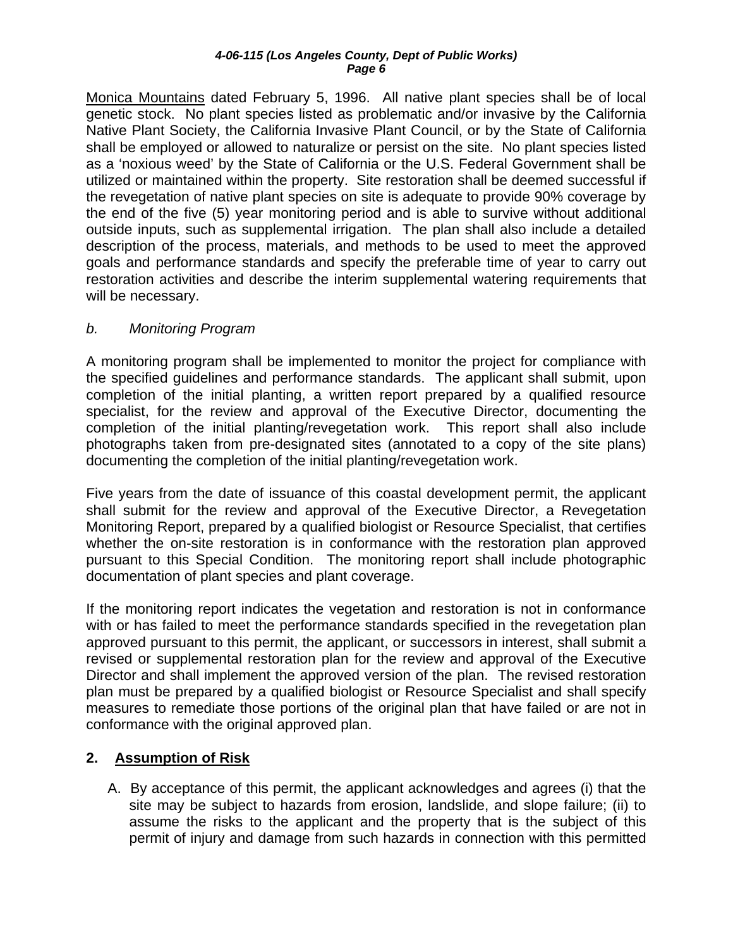<span id="page-6-0"></span>Monica Mountains dated February 5, 1996. All native plant species shall be of local genetic stock. No plant species listed as problematic and/or invasive by the California Native Plant Society, the California Invasive Plant Council, or by the State of California shall be employed or allowed to naturalize or persist on the site. No plant species listed as a 'noxious weed' by the State of California or the U.S. Federal Government shall be utilized or maintained within the property. Site restoration shall be deemed successful if the revegetation of native plant species on site is adequate to provide 90% coverage by the end of the five (5) year monitoring period and is able to survive without additional outside inputs, such as supplemental irrigation. The plan shall also include a detailed description of the process, materials, and methods to be used to meet the approved goals and performance standards and specify the preferable time of year to carry out restoration activities and describe the interim supplemental watering requirements that will be necessary.

## *b. Monitoring Program*

A monitoring program shall be implemented to monitor the project for compliance with the specified guidelines and performance standards. The applicant shall submit, upon completion of the initial planting, a written report prepared by a qualified resource specialist, for the review and approval of the Executive Director, documenting the completion of the initial planting/revegetation work. This report shall also include photographs taken from pre-designated sites (annotated to a copy of the site plans) documenting the completion of the initial planting/revegetation work.

Five years from the date of issuance of this coastal development permit, the applicant shall submit for the review and approval of the Executive Director, a Revegetation Monitoring Report, prepared by a qualified biologist or Resource Specialist, that certifies whether the on-site restoration is in conformance with the restoration plan approved pursuant to this Special Condition. The monitoring report shall include photographic documentation of plant species and plant coverage.

If the monitoring report indicates the vegetation and restoration is not in conformance with or has failed to meet the performance standards specified in the revegetation plan approved pursuant to this permit, the applicant, or successors in interest, shall submit a revised or supplemental restoration plan for the review and approval of the Executive Director and shall implement the approved version of the plan. The revised restoration plan must be prepared by a qualified biologist or Resource Specialist and shall specify measures to remediate those portions of the original plan that have failed or are not in conformance with the original approved plan.

## **2. Assumption of Risk**

A. By acceptance of this permit, the applicant acknowledges and agrees (i) that the site may be subject to hazards from erosion, landslide, and slope failure; (ii) to assume the risks to the applicant and the property that is the subject of this permit of injury and damage from such hazards in connection with this permitted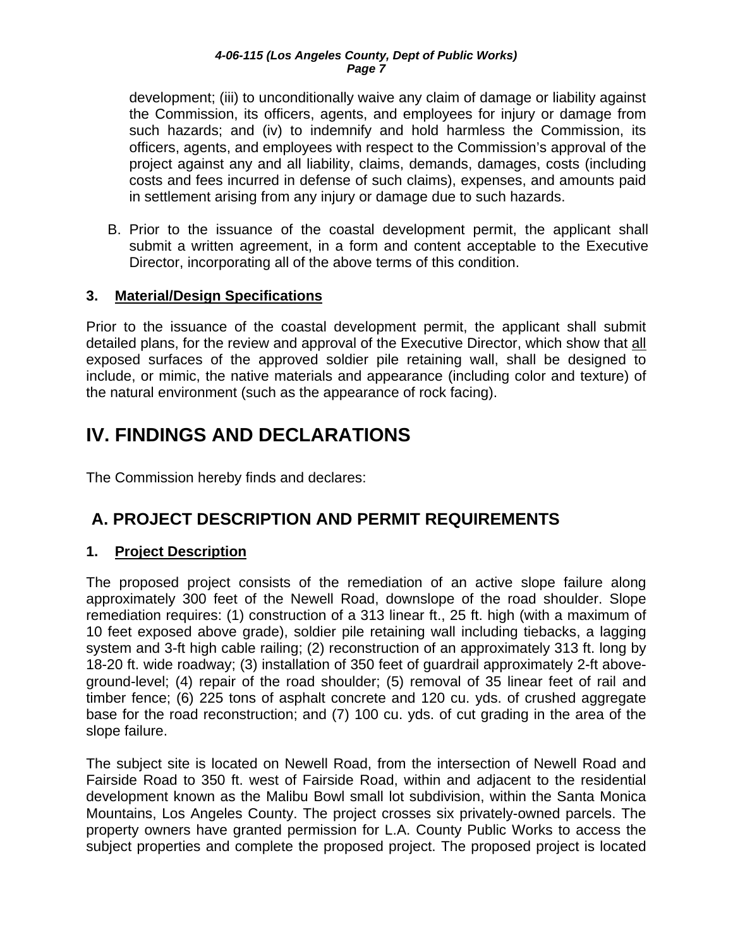<span id="page-7-0"></span>development; (iii) to unconditionally waive any claim of damage or liability against the Commission, its officers, agents, and employees for injury or damage from such hazards; and (iv) to indemnify and hold harmless the Commission, its officers, agents, and employees with respect to the Commission's approval of the project against any and all liability, claims, demands, damages, costs (including costs and fees incurred in defense of such claims), expenses, and amounts paid in settlement arising from any injury or damage due to such hazards.

B. Prior to the issuance of the coastal development permit, the applicant shall submit a written agreement, in a form and content acceptable to the Executive Director, incorporating all of the above terms of this condition.

## **3. Material/Design Specifications**

Prior to the issuance of the coastal development permit, the applicant shall submit detailed plans, for the review and approval of the Executive Director, which show that all exposed surfaces of the approved soldier pile retaining wall, shall be designed to include, or mimic, the native materials and appearance (including color and texture) of the natural environment (such as the appearance of rock facing).

# **IV. FINDINGS AND DECLARATIONS**

The Commission hereby finds and declares:

# **A. PROJECT DESCRIPTION AND PERMIT REQUIREMENTS**

## **1. Project Description**

The proposed project consists of the remediation of an active slope failure along approximately 300 feet of the Newell Road, downslope of the road shoulder. Slope remediation requires: (1) construction of a 313 linear ft., 25 ft. high (with a maximum of 10 feet exposed above grade), soldier pile retaining wall including tiebacks, a lagging system and 3-ft high cable railing; (2) reconstruction of an approximately 313 ft. long by 18-20 ft. wide roadway; (3) installation of 350 feet of guardrail approximately 2-ft aboveground-level; (4) repair of the road shoulder; (5) removal of 35 linear feet of rail and timber fence; (6) 225 tons of asphalt concrete and 120 cu. yds. of crushed aggregate base for the road reconstruction; and (7) 100 cu. yds. of cut grading in the area of the slope failure.

The subject site is located on Newell Road, from the intersection of Newell Road and Fairside Road to 350 ft. west of Fairside Road, within and adjacent to the residential development known as the Malibu Bowl small lot subdivision, within the Santa Monica Mountains, Los Angeles County. The project crosses six privately-owned parcels. The property owners have granted permission for L.A. County Public Works to access the subject properties and complete the proposed project. The proposed project is located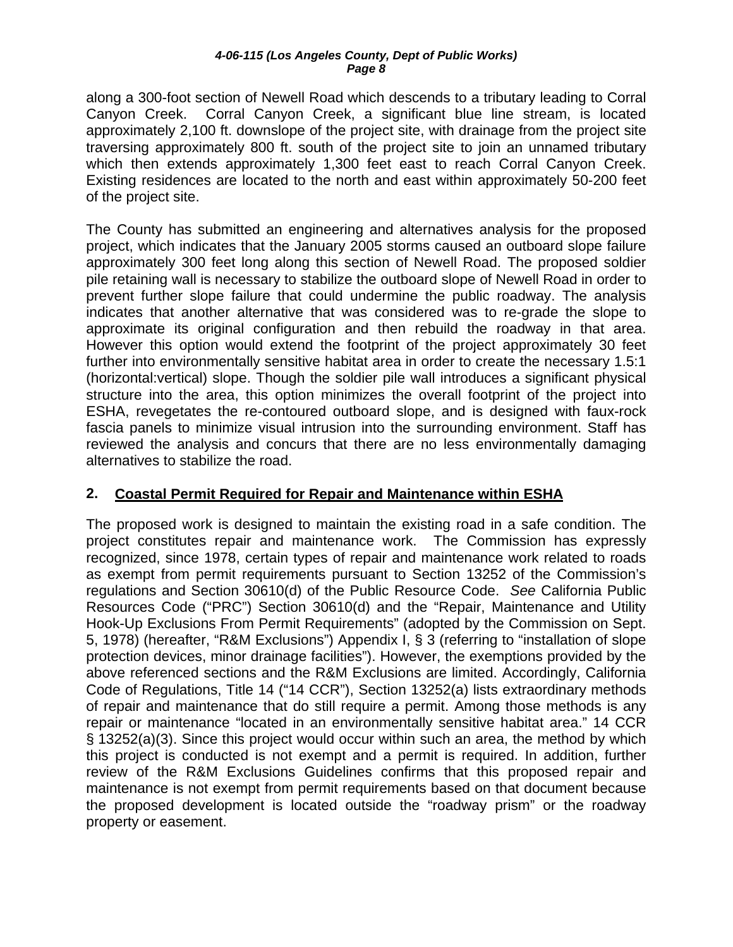<span id="page-8-0"></span>along a 300-foot section of Newell Road which descends to a tributary leading to Corral Canyon Creek. Corral Canyon Creek, a significant blue line stream, is located approximately 2,100 ft. downslope of the project site, with drainage from the project site traversing approximately 800 ft. south of the project site to join an unnamed tributary which then extends approximately 1,300 feet east to reach Corral Canyon Creek. Existing residences are located to the north and east within approximately 50-200 feet of the project site.

The County has submitted an engineering and alternatives analysis for the proposed project, which indicates that the January 2005 storms caused an outboard slope failure approximately 300 feet long along this section of Newell Road. The proposed soldier pile retaining wall is necessary to stabilize the outboard slope of Newell Road in order to prevent further slope failure that could undermine the public roadway. The analysis indicates that another alternative that was considered was to re-grade the slope to approximate its original configuration and then rebuild the roadway in that area. However this option would extend the footprint of the project approximately 30 feet further into environmentally sensitive habitat area in order to create the necessary 1.5:1 (horizontal:vertical) slope. Though the soldier pile wall introduces a significant physical structure into the area, this option minimizes the overall footprint of the project into ESHA, revegetates the re-contoured outboard slope, and is designed with faux-rock fascia panels to minimize visual intrusion into the surrounding environment. Staff has reviewed the analysis and concurs that there are no less environmentally damaging alternatives to stabilize the road.

## **2. Coastal Permit Required for Repair and Maintenance within ESHA**

The proposed work is designed to maintain the existing road in a safe condition. The project constitutes repair and maintenance work. The Commission has expressly recognized, since 1978, certain types of repair and maintenance work related to roads as exempt from permit requirements pursuant to Section 13252 of the Commission's regulations and Section 30610(d) of the Public Resource Code. *See* California Public Resources Code ("PRC") Section 30610(d) and the "Repair, Maintenance and Utility Hook-Up Exclusions From Permit Requirements" (adopted by the Commission on Sept. 5, 1978) (hereafter, "R&M Exclusions") Appendix I, § 3 (referring to "installation of slope protection devices, minor drainage facilities"). However, the exemptions provided by the above referenced sections and the R&M Exclusions are limited. Accordingly, California Code of Regulations, Title 14 ("14 CCR"), Section 13252(a) lists extraordinary methods of repair and maintenance that do still require a permit. Among those methods is any repair or maintenance "located in an environmentally sensitive habitat area." 14 CCR § 13252(a)(3). Since this project would occur within such an area, the method by which this project is conducted is not exempt and a permit is required. In addition, further review of the R&M Exclusions Guidelines confirms that this proposed repair and maintenance is not exempt from permit requirements based on that document because the proposed development is located outside the "roadway prism" or the roadway property or easement.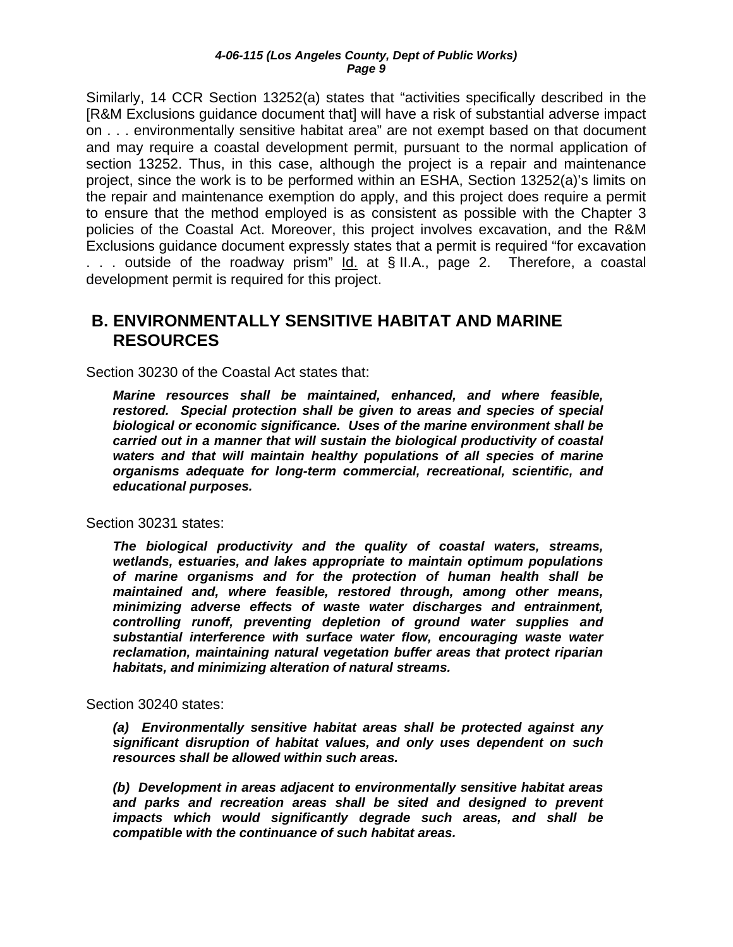<span id="page-9-0"></span>Similarly, 14 CCR Section 13252(a) states that "activities specifically described in the [R&M Exclusions guidance document that] will have a risk of substantial adverse impact on . . . environmentally sensitive habitat area" are not exempt based on that document and may require a coastal development permit, pursuant to the normal application of section 13252. Thus, in this case, although the project is a repair and maintenance project, since the work is to be performed within an ESHA, Section 13252(a)'s limits on the repair and maintenance exemption do apply, and this project does require a permit to ensure that the method employed is as consistent as possible with the Chapter 3 policies of the Coastal Act. Moreover, this project involves excavation, and the R&M Exclusions guidance document expressly states that a permit is required "for excavation . . . outside of the roadway prism" Id. at § II.A., page 2. Therefore, a coastal development permit is required for this project.

## **B. ENVIRONMENTALLY SENSITIVE HABITAT AND MARINE RESOURCES**

Section 30230 of the Coastal Act states that:

*Marine resources shall be maintained, enhanced, and where feasible, restored. Special protection shall be given to areas and species of special biological or economic significance. Uses of the marine environment shall be carried out in a manner that will sustain the biological productivity of coastal waters and that will maintain healthy populations of all species of marine organisms adequate for long-term commercial, recreational, scientific, and educational purposes.* 

Section 30231 states:

*The biological productivity and the quality of coastal waters, streams, wetlands, estuaries, and lakes appropriate to maintain optimum populations of marine organisms and for the protection of human health shall be maintained and, where feasible, restored through, among other means, minimizing adverse effects of waste water discharges and entrainment, controlling runoff, preventing depletion of ground water supplies and substantial interference with surface water flow, encouraging waste water reclamation, maintaining natural vegetation buffer areas that protect riparian habitats, and minimizing alteration of natural streams.* 

Section 30240 states:

*(a) Environmentally sensitive habitat areas shall be protected against any significant disruption of habitat values, and only uses dependent on such resources shall be allowed within such areas.* 

*(b) Development in areas adjacent to environmentally sensitive habitat areas and parks and recreation areas shall be sited and designed to prevent impacts which would significantly degrade such areas, and shall be compatible with the continuance of such habitat areas.*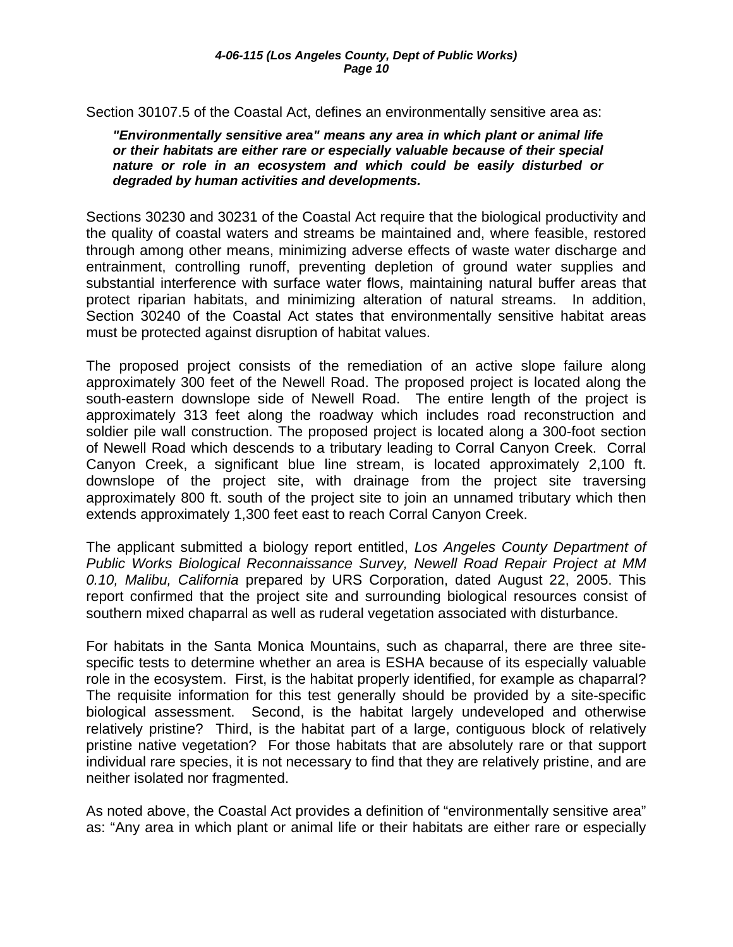Section 30107.5 of the Coastal Act, defines an environmentally sensitive area as:

*"Environmentally sensitive area" means any area in which plant or animal life or their habitats are either rare or especially valuable because of their special nature or role in an ecosystem and which could be easily disturbed or degraded by human activities and developments.* 

Sections 30230 and 30231 of the Coastal Act require that the biological productivity and the quality of coastal waters and streams be maintained and, where feasible, restored through among other means, minimizing adverse effects of waste water discharge and entrainment, controlling runoff, preventing depletion of ground water supplies and substantial interference with surface water flows, maintaining natural buffer areas that protect riparian habitats, and minimizing alteration of natural streams. In addition, Section 30240 of the Coastal Act states that environmentally sensitive habitat areas must be protected against disruption of habitat values.

The proposed project consists of the remediation of an active slope failure along approximately 300 feet of the Newell Road. The proposed project is located along the south-eastern downslope side of Newell Road. The entire length of the project is approximately 313 feet along the roadway which includes road reconstruction and soldier pile wall construction. The proposed project is located along a 300-foot section of Newell Road which descends to a tributary leading to Corral Canyon Creek. Corral Canyon Creek, a significant blue line stream, is located approximately 2,100 ft. downslope of the project site, with drainage from the project site traversing approximately 800 ft. south of the project site to join an unnamed tributary which then extends approximately 1,300 feet east to reach Corral Canyon Creek.

The applicant submitted a biology report entitled, *Los Angeles County Department of Public Works Biological Reconnaissance Survey, Newell Road Repair Project at MM 0.10, Malibu, California* prepared by URS Corporation, dated August 22, 2005. This report confirmed that the project site and surrounding biological resources consist of southern mixed chaparral as well as ruderal vegetation associated with disturbance.

For habitats in the Santa Monica Mountains, such as chaparral, there are three sitespecific tests to determine whether an area is ESHA because of its especially valuable role in the ecosystem. First, is the habitat properly identified, for example as chaparral? The requisite information for this test generally should be provided by a site-specific biological assessment. Second, is the habitat largely undeveloped and otherwise relatively pristine? Third, is the habitat part of a large, contiguous block of relatively pristine native vegetation? For those habitats that are absolutely rare or that support individual rare species, it is not necessary to find that they are relatively pristine, and are neither isolated nor fragmented.

As noted above, the Coastal Act provides a definition of "environmentally sensitive area" as: "Any area in which plant or animal life or their habitats are either rare or especially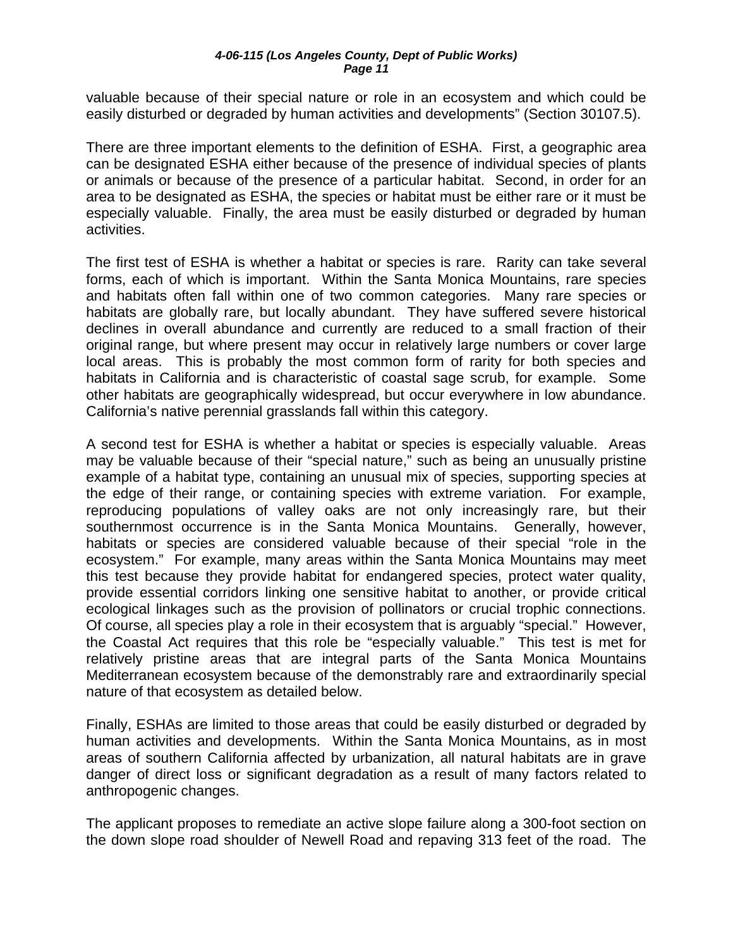valuable because of their special nature or role in an ecosystem and which could be easily disturbed or degraded by human activities and developments" (Section 30107.5).

There are three important elements to the definition of ESHA. First, a geographic area can be designated ESHA either because of the presence of individual species of plants or animals or because of the presence of a particular habitat. Second, in order for an area to be designated as ESHA, the species or habitat must be either rare or it must be especially valuable. Finally, the area must be easily disturbed or degraded by human activities.

The first test of ESHA is whether a habitat or species is rare. Rarity can take several forms, each of which is important. Within the Santa Monica Mountains, rare species and habitats often fall within one of two common categories. Many rare species or habitats are globally rare, but locally abundant. They have suffered severe historical declines in overall abundance and currently are reduced to a small fraction of their original range, but where present may occur in relatively large numbers or cover large local areas. This is probably the most common form of rarity for both species and habitats in California and is characteristic of coastal sage scrub, for example. Some other habitats are geographically widespread, but occur everywhere in low abundance. California's native perennial grasslands fall within this category.

A second test for ESHA is whether a habitat or species is especially valuable. Areas may be valuable because of their "special nature," such as being an unusually pristine example of a habitat type, containing an unusual mix of species, supporting species at the edge of their range, or containing species with extreme variation. For example, reproducing populations of valley oaks are not only increasingly rare, but their southernmost occurrence is in the Santa Monica Mountains. Generally, however, habitats or species are considered valuable because of their special "role in the ecosystem." For example, many areas within the Santa Monica Mountains may meet this test because they provide habitat for endangered species, protect water quality, provide essential corridors linking one sensitive habitat to another, or provide critical ecological linkages such as the provision of pollinators or crucial trophic connections. Of course, all species play a role in their ecosystem that is arguably "special." However, the Coastal Act requires that this role be "especially valuable." This test is met for relatively pristine areas that are integral parts of the Santa Monica Mountains Mediterranean ecosystem because of the demonstrably rare and extraordinarily special nature of that ecosystem as detailed below.

Finally, ESHAs are limited to those areas that could be easily disturbed or degraded by human activities and developments. Within the Santa Monica Mountains, as in most areas of southern California affected by urbanization, all natural habitats are in grave danger of direct loss or significant degradation as a result of many factors related to anthropogenic changes.

The applicant proposes to remediate an active slope failure along a 300-foot section on the down slope road shoulder of Newell Road and repaving 313 feet of the road. The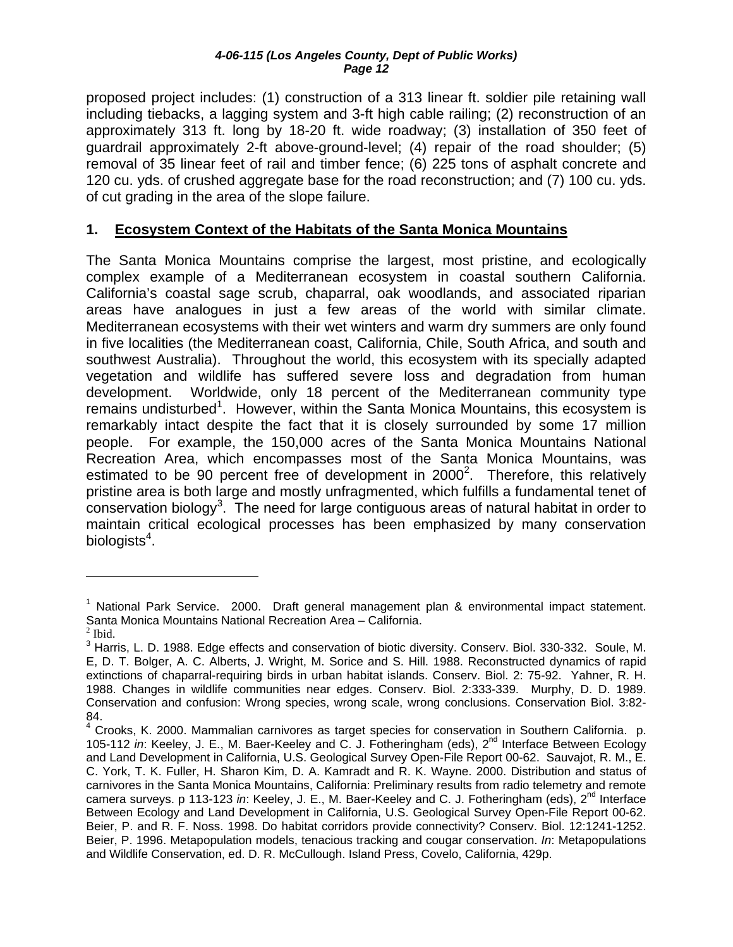<span id="page-12-0"></span>proposed project includes: (1) construction of a 313 linear ft. soldier pile retaining wall including tiebacks, a lagging system and 3-ft high cable railing; (2) reconstruction of an approximately 313 ft. long by 18-20 ft. wide roadway; (3) installation of 350 feet of guardrail approximately 2-ft above-ground-level; (4) repair of the road shoulder; (5) removal of 35 linear feet of rail and timber fence; (6) 225 tons of asphalt concrete and 120 cu. yds. of crushed aggregate base for the road reconstruction; and (7) 100 cu. yds. of cut grading in the area of the slope failure.

## **1. Ecosystem Context of the Habitats of the Santa Monica Mountains**

The Santa Monica Mountains comprise the largest, most pristine, and ecologically complex example of a Mediterranean ecosystem in coastal southern California. California's coastal sage scrub, chaparral, oak woodlands, and associated riparian areas have analogues in just a few areas of the world with similar climate. Mediterranean ecosystems with their wet winters and warm dry summers are only found in five localities (the Mediterranean coast, California, Chile, South Africa, and south and southwest Australia). Throughout the world, this ecosystem with its specially adapted vegetation and wildlife has suffered severe loss and degradation from human development. Worldwide, only 18 percent of the Mediterranean community type remains undisturbed<sup>[1](#page-12-1)</sup>. However, within the Santa Monica Mountains, this ecosystem is remarkably intact despite the fact that it is closely surrounded by some 17 million people. For example, the 150,000 acres of the Santa Monica Mountains National Recreation Area, which encompasses most of the Santa Monica Mountains, was estimated to be 90 percent free of development in  $2000^2$  $2000^2$ . Therefore, this relatively pristine area is both large and mostly unfragmented, which fulfills a fundamental tenet of conservation biology<sup>[3](#page-12-3)</sup>. The need for large contiguous areas of natural habitat in order to maintain critical ecological processes has been emphasized by many conservation biologists $^4$  $^4$ .

 $\overline{a}$ 

<span id="page-12-1"></span><sup>&</sup>lt;sup>1</sup> National Park Service. 2000. Draft general management plan & environmental impact statement. Santa Monica Mountains National Recreation Area – California.

<span id="page-12-2"></span> $<sup>2</sup>$  Ibid.</sup>

<span id="page-12-3"></span><sup>&</sup>lt;sup>3</sup> Harris, L. D. 1988. Edge effects and conservation of biotic diversity. Conserv. Biol. 330-332. Soule, M. E, D. T. Bolger, A. C. Alberts, J. Wright, M. Sorice and S. Hill. 1988. Reconstructed dynamics of rapid extinctions of chaparral-requiring birds in urban habitat islands. Conserv. Biol. 2: 75-92. Yahner, R. H. 1988. Changes in wildlife communities near edges. Conserv. Biol. 2:333-339. Murphy, D. D. 1989. Conservation and confusion: Wrong species, wrong scale, wrong conclusions. Conservation Biol. 3:82- 84.

<span id="page-12-4"></span><sup>&</sup>lt;sup>4</sup> Crooks, K. 2000. Mammalian carnivores as target species for conservation in Southern California. p. 105-112 *in*: Keeley, J. E., M. Baer-Keeley and C. J. Fotheringham (eds), 2<sup>nd</sup> Interface Between Ecology and Land Development in California, U.S. Geological Survey Open-File Report 00-62. Sauvajot, R. M., E. C. York, T. K. Fuller, H. Sharon Kim, D. A. Kamradt and R. K. Wayne. 2000. Distribution and status of carnivores in the Santa Monica Mountains, California: Preliminary results from radio telemetry and remote camera surveys. p 113-123 *in*: Keeley, J. E., M. Baer-Keeley and C. J. Fotheringham (eds), 2nd Interface Between Ecology and Land Development in California, U.S. Geological Survey Open-File Report 00-62. Beier, P. and R. F. Noss. 1998. Do habitat corridors provide connectivity? Conserv. Biol. 12:1241-1252. Beier, P. 1996. Metapopulation models, tenacious tracking and cougar conservation. *In*: Metapopulations and Wildlife Conservation, ed. D. R. McCullough. Island Press, Covelo, California, 429p.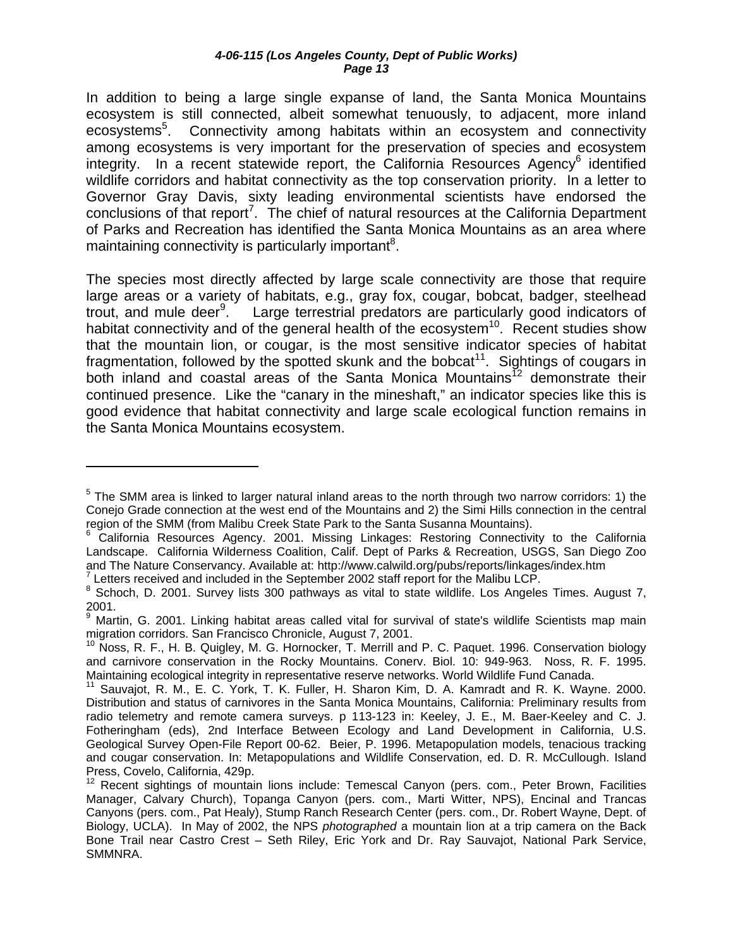In addition to being a large single expanse of land, the Santa Monica Mountains ecosystem is still connected, albeit somewhat tenuously, to adjacent, more inland ecosystems<sup>[5](#page-13-0)</sup>. Connectivity among habitats within an ecosystem and connectivity among ecosystems is very important for the preservation of species and ecosystem integrity. In a recent statewide report, the California Resources Agency<sup>[6](#page-13-1)</sup> identified wildlife corridors and habitat connectivity as the top conservation priority. In a letter to Governor Gray Davis, sixty leading environmental scientists have endorsed the conclusions of that report<sup>[7](#page-13-2)</sup>. The chief of natural resources at the California Department of Parks and Recreation has identified the Santa Monica Mountains as an area where maintaining connectivity is particularly important<sup>8</sup>.

The species most directly affected by large scale connectivity are those that require large areas or a variety of habitats, e.g., gray fox, cougar, bobcat, badger, steelhead trout, and mule deer<sup>[9](#page-13-4)</sup>. Large terrestrial predators are particularly good indicators of habitat connectivity and of the general health of the ecosystem<sup>10</sup>. Recent studies show that the mountain lion, or cougar, is the most sensitive indicator species of habitat fragmentation, followed by the spotted skunk and the bobcat<sup>11</sup>. Sightings of cougars in both inland and coastal areas of the Santa Monica Mountains<sup>12</sup> demonstrate their continued presence. Like the "canary in the mineshaft," an indicator species like this is good evidence that habitat connectivity and large scale ecological function remains in the Santa Monica Mountains ecosystem.

<span id="page-13-2"></span> $^7$  Letters received and included in the September 2002 staff report for the Malibu LCP.

<u>.</u>

<span id="page-13-0"></span> $5$  The SMM area is linked to larger natural inland areas to the north through two narrow corridors: 1) the Conejo Grade connection at the west end of the Mountains and 2) the Simi Hills connection in the central region of the SMM (from Malibu Creek State Park to the Santa Susanna Mountains). 6

<span id="page-13-1"></span><sup>&</sup>lt;sup>6</sup> California Resources Agency. 2001. Missing Linkages: Restoring Connectivity to the California Landscape. California Wilderness Coalition, Calif. Dept of Parks & Recreation, USGS, San Diego Zoo and The Nature Conservancy. Available at:<http://www.calwild.org/pubs/reports/linkages/index.htm> <sup>7</sup>

<span id="page-13-3"></span> $8$  Schoch, D. 2001. Survey lists 300 pathways as vital to state wildlife. Los Angeles Times. August 7, 2001.

<span id="page-13-4"></span><sup>&</sup>lt;sup>9</sup> Martin, G. 2001. Linking habitat areas called vital for survival of state's wildlife Scientists map main migration corridors. San Francisco Chronicle, August 7, 2001.<br><sup>10</sup> Noss, R. F., H. B. Quigley, M. G. Hornocker, T. Merrill and P. C. Paquet. 1996. Conservation biology

<span id="page-13-5"></span>and carnivore conservation in the Rocky Mountains. Conerv. Biol. 10: 949-963. Noss, R. F. 1995. Maintaining ecological integrity in representative reserve networks. World Wildlife Fund Canada.

<span id="page-13-6"></span><sup>&</sup>lt;sup>11</sup> Sauvajot, R. M., E. C. York, T. K. Fuller, H. Sharon Kim, D. A. Kamradt and R. K. Wayne. 2000. Distribution and status of carnivores in the Santa Monica Mountains, California: Preliminary results from radio telemetry and remote camera surveys. p 113-123 in: Keeley, J. E., M. Baer-Keeley and C. J. Fotheringham (eds), 2nd Interface Between Ecology and Land Development in California, U.S. Geological Survey Open-File Report 00-62. Beier, P. 1996. Metapopulation models, tenacious tracking and cougar conservation. In: Metapopulations and Wildlife Conservation, ed. D. R. McCullough. Island Press, Covelo, California, 429p.

<span id="page-13-7"></span> $12$  Recent sightings of mountain lions include: Temescal Canyon (pers. com., Peter Brown, Facilities Manager, Calvary Church), Topanga Canyon (pers. com., Marti Witter, NPS), Encinal and Trancas Canyons (pers. com., Pat Healy), Stump Ranch Research Center (pers. com., Dr. Robert Wayne, Dept. of Biology, UCLA). In May of 2002, the NPS *photographed* a mountain lion at a trip camera on the Back Bone Trail near Castro Crest – Seth Riley, Eric York and Dr. Ray Sauvajot, National Park Service, SMMNRA.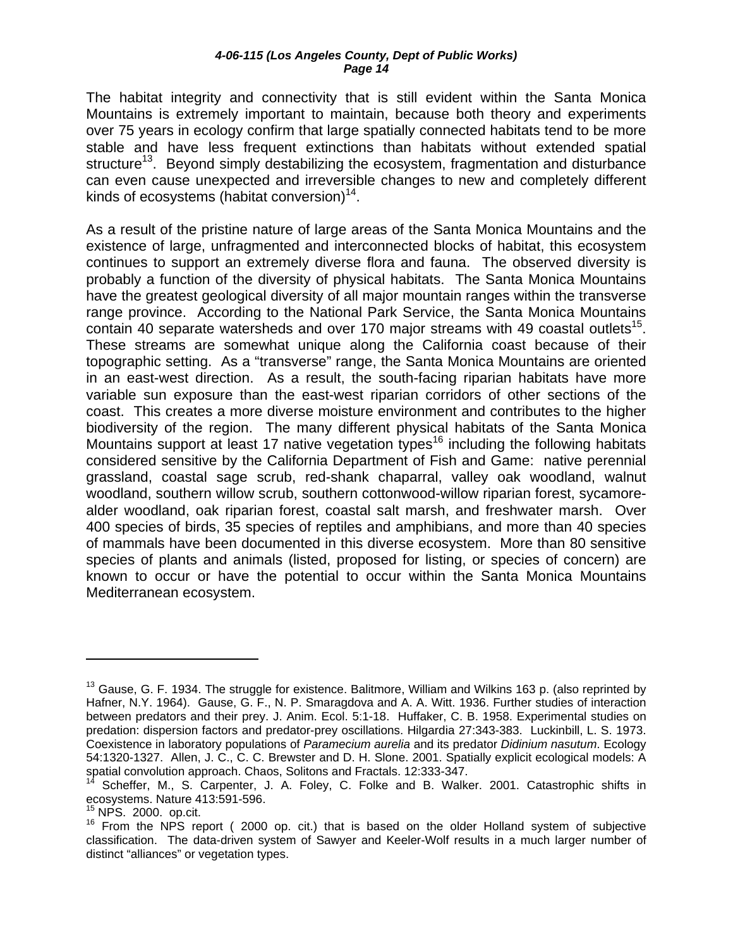The habitat integrity and connectivity that is still evident within the Santa Monica Mountains is extremely important to maintain, because both theory and experiments over 75 years in ecology confirm that large spatially connected habitats tend to be more stable and have less frequent extinctions than habitats without extended spatial structure<sup>13</sup>. Beyond simply destabilizing the ecosystem, fragmentation and disturbance can even cause unexpected and irreversible changes to new and completely different kinds of ecosystems (habitat conversion) $14$ .

As a result of the pristine nature of large areas of the Santa Monica Mountains and the existence of large, unfragmented and interconnected blocks of habitat, this ecosystem continues to support an extremely diverse flora and fauna. The observed diversity is probably a function of the diversity of physical habitats. The Santa Monica Mountains have the greatest geological diversity of all major mountain ranges within the transverse range province. According to the National Park Service, the Santa Monica Mountains contain 40 separate watersheds and over 170 major streams with 49 coastal outlets<sup>15</sup>. These streams are somewhat unique along the California coast because of their topographic setting. As a "transverse" range, the Santa Monica Mountains are oriented in an east-west direction. As a result, the south-facing riparian habitats have more variable sun exposure than the east-west riparian corridors of other sections of the coast. This creates a more diverse moisture environment and contributes to the higher biodiversity of the region. The many different physical habitats of the Santa Monica Mountains support at least 17 native vegetation types<sup>16</sup> including the following habitats considered sensitive by the California Department of Fish and Game: native perennial grassland, coastal sage scrub, red-shank chaparral, valley oak woodland, walnut woodland, southern willow scrub, southern cottonwood-willow riparian forest, sycamorealder woodland, oak riparian forest, coastal salt marsh, and freshwater marsh. Over 400 species of birds, 35 species of reptiles and amphibians, and more than 40 species of mammals have been documented in this diverse ecosystem. More than 80 sensitive species of plants and animals (listed, proposed for listing, or species of concern) are known to occur or have the potential to occur within the Santa Monica Mountains Mediterranean ecosystem.

1

<span id="page-14-0"></span><sup>&</sup>lt;sup>13</sup> Gause, G. F. 1934. The struggle for existence. Balitmore, William and Wilkins 163 p. (also reprinted by Hafner, N.Y. 1964). Gause, G. F., N. P. Smaragdova and A. A. Witt. 1936. Further studies of interaction between predators and their prey. J. Anim. Ecol. 5:1-18. Huffaker, C. B. 1958. Experimental studies on predation: dispersion factors and predator-prey oscillations. Hilgardia 27:343-383. Luckinbill, L. S. 1973. Coexistence in laboratory populations of *Paramecium aurelia* and its predator *Didinium nasutum*. Ecology 54:1320-1327. Allen, J. C., C. C. Brewster and D. H. Slone. 2001. Spatially explicit ecological models: A spatial convolution approach. Chaos, Solitons and Fractals. 12:333-347.

<span id="page-14-1"></span><sup>14</sup> Scheffer, M., S. Carpenter, J. A. Foley, C. Folke and B. Walker. 2001. Catastrophic shifts in ecosystems. Nature 413:591-596.<br><sup>15</sup> NPS. 2000. op.cit.

<span id="page-14-2"></span>

<span id="page-14-3"></span> $16$  From the NPS report ( 2000 op. cit.) that is based on the older Holland system of subjective classification. The data-driven system of Sawyer and Keeler-Wolf results in a much larger number of distinct "alliances" or vegetation types.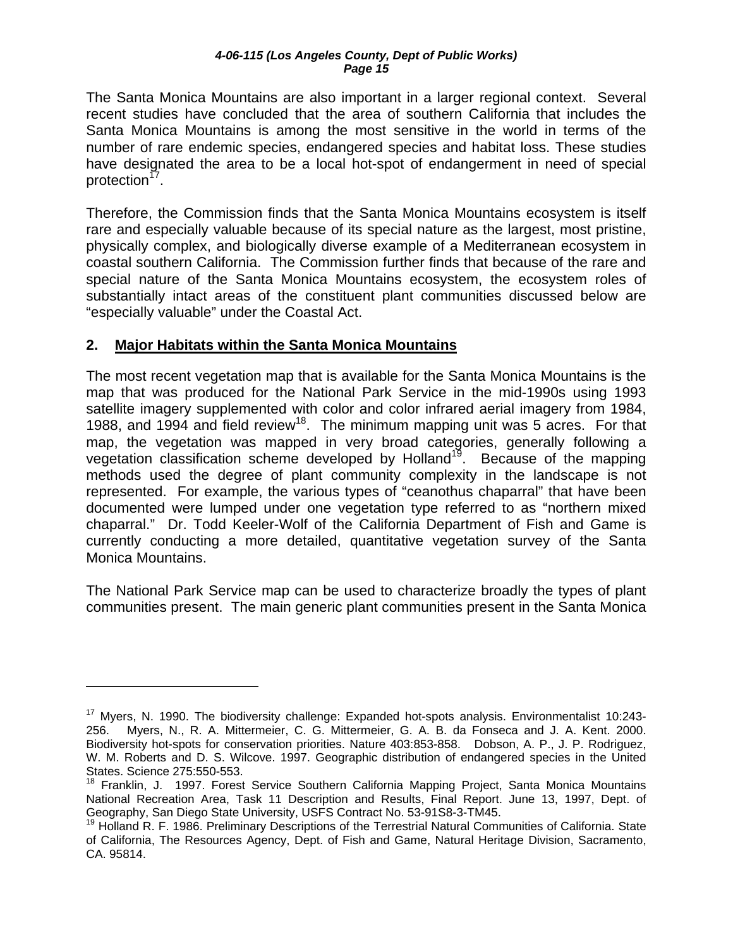<span id="page-15-0"></span>The Santa Monica Mountains are also important in a larger regional context. Several recent studies have concluded that the area of southern California that includes the Santa Monica Mountains is among the most sensitive in the world in terms of the number of rare endemic species, endangered species and habitat loss. These studies have designated the area to be a local hot-spot of endangerment in need of special protection<sup>1</sup>'.

Therefore, the Commission finds that the Santa Monica Mountains ecosystem is itself rare and especially valuable because of its special nature as the largest, most pristine, physically complex, and biologically diverse example of a Mediterranean ecosystem in coastal southern California. The Commission further finds that because of the rare and special nature of the Santa Monica Mountains ecosystem, the ecosystem roles of substantially intact areas of the constituent plant communities discussed below are "especially valuable" under the Coastal Act.

### **2. Major Habitats within the Santa Monica Mountains**

1

The most recent vegetation map that is available for the Santa Monica Mountains is the map that was produced for the National Park Service in the mid-1990s using 1993 satellite imagery supplemented with color and color infrared aerial imagery from 1984, 1988, and 1994 and field review<sup>18</sup>. The minimum mapping unit was 5 acres. For that map, the vegetation was mapped in very broad categories, generally following a vegetation classification scheme developed by Holland<sup>19</sup>. Because of the mapping methods used the degree of plant community complexity in the landscape is not represented. For example, the various types of "ceanothus chaparral" that have been documented were lumped under one vegetation type referred to as "northern mixed chaparral." Dr. Todd Keeler-Wolf of the California Department of Fish and Game is currently conducting a more detailed, quantitative vegetation survey of the Santa Monica Mountains.

The National Park Service map can be used to characterize broadly the types of plant communities present. The main generic plant communities present in the Santa Monica

<span id="page-15-1"></span><sup>&</sup>lt;sup>17</sup> Myers, N. 1990. The biodiversity challenge: Expanded hot-spots analysis. Environmentalist 10:243-256. Myers, N., R. A. Mittermeier, C. G. Mittermeier, G. A. B. da Fonseca and J. A. Kent. 2000. Biodiversity hot-spots for conservation priorities. Nature 403:853-858. Dobson, A. P., J. P. Rodriguez, W. M. Roberts and D. S. Wilcove. 1997. Geographic distribution of endangered species in the United States. Science 275:550-553.

<span id="page-15-2"></span><sup>&</sup>lt;sup>18</sup> Franklin, J. 1997. Forest Service Southern California Mapping Project, Santa Monica Mountains National Recreation Area, Task 11 Description and Results, Final Report. June 13, 1997, Dept. of Geography, San Diego State University, USFS Contract No. 53-91S8-3-TM45.

<span id="page-15-3"></span><sup>&</sup>lt;sup>19</sup> Holland R. F. 1986. Preliminary Descriptions of the Terrestrial Natural Communities of California. State of California, The Resources Agency, Dept. of Fish and Game, Natural Heritage Division, Sacramento, CA. 95814.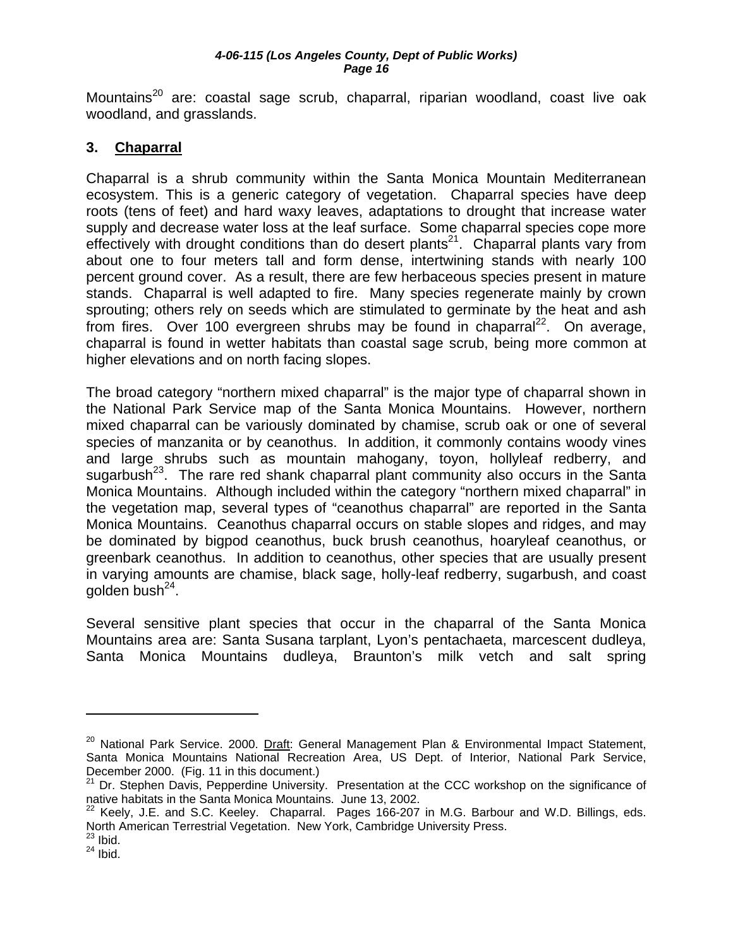<span id="page-16-0"></span>Mountains<sup>20</sup> are: coastal sage scrub, chaparral, riparian woodland, coast live oak woodland, and grasslands.

## **3. Chaparral**

Chaparral is a shrub community within the Santa Monica Mountain Mediterranean ecosystem. This is a generic category of vegetation. Chaparral species have deep roots (tens of feet) and hard waxy leaves, adaptations to drought that increase water supply and decrease water loss at the leaf surface. Some chaparral species cope more effectively with drought conditions than do desert plants<sup>21</sup>. Chaparral plants vary from about one to four meters tall and form dense, intertwining stands with nearly 100 percent ground cover. As a result, there are few herbaceous species present in mature stands. Chaparral is well adapted to fire. Many species regenerate mainly by crown sprouting; others rely on seeds which are stimulated to germinate by the heat and ash from fires. Over 100 evergreen shrubs may be found in chaparral<sup>22</sup>. On average, chaparral is found in wetter habitats than coastal sage scrub, being more common at higher elevations and on north facing slopes.

The broad category "northern mixed chaparral" is the major type of chaparral shown in the National Park Service map of the Santa Monica Mountains. However, northern mixed chaparral can be variously dominated by chamise, scrub oak or one of several species of manzanita or by ceanothus. In addition, it commonly contains woody vines and large shrubs such as mountain mahogany, toyon, hollyleaf redberry, and sugarbush $^{23}$ . The rare red shank chaparral plant community also occurs in the Santa Monica Mountains. Although included within the category "northern mixed chaparral" in the vegetation map, several types of "ceanothus chaparral" are reported in the Santa Monica Mountains. Ceanothus chaparral occurs on stable slopes and ridges, and may be dominated by bigpod ceanothus, buck brush ceanothus, hoaryleaf ceanothus, or greenbark ceanothus. In addition to ceanothus, other species that are usually present in varying amounts are chamise, black sage, holly-leaf redberry, sugarbush, and coast golden bush $^{24}$ .

Several sensitive plant species that occur in the chaparral of the Santa Monica Mountains area are: Santa Susana tarplant, Lyon's pentachaeta, marcescent dudleya, Santa Monica Mountains dudleya, Braunton's milk vetch and salt spring

<u>.</u>

<span id="page-16-1"></span><sup>&</sup>lt;sup>20</sup> National Park Service. 2000. Draft: General Management Plan & Environmental Impact Statement, Santa Monica Mountains National Recreation Area, US Dept. of Interior, National Park Service, December 2000. (Fig. 11 in this document.)

<span id="page-16-2"></span> $21$  Dr. Stephen Davis, Pepperdine University. Presentation at the CCC workshop on the significance of native habitats in the Santa Monica Mountains. June 13, 2002.

<span id="page-16-3"></span> $^{22}$  Keely, J.E. and S.C. Keeley. Chaparral. Pages 166-207 in M.G. Barbour and W.D. Billings, eds. North American Terrestrial Vegetation. New York, Cambridge University Press.

<span id="page-16-4"></span> $23$  Ibid.

<span id="page-16-5"></span> $24$  Ibid.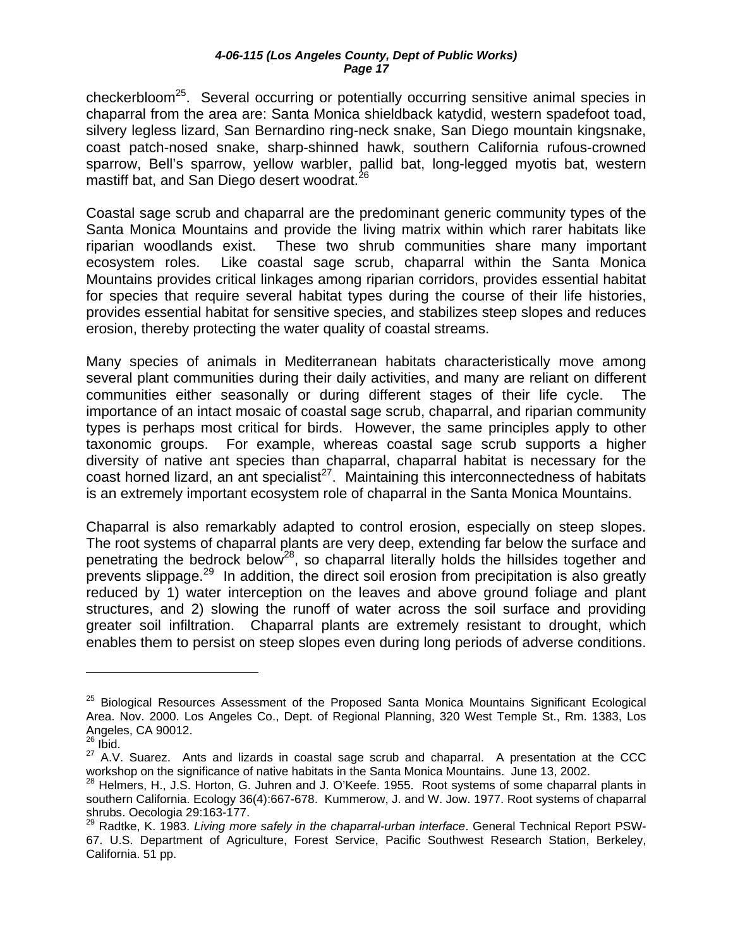checkerbloom<sup>25</sup>. Several occurring or potentially occurring sensitive animal species in chaparral from the area are: Santa Monica shieldback katydid, western spadefoot toad, silvery legless lizard, San Bernardino ring-neck snake, San Diego mountain kingsnake, coast patch-nosed snake, sharp-shinned hawk, southern California rufous-crowned sparrow, Bell's sparrow, yellow warbler, pallid bat, long-legged myotis bat, western mastiff bat, and San Diego desert woodrat.<sup>[26](#page-17-1)</sup>

Coastal sage scrub and chaparral are the predominant generic community types of the Santa Monica Mountains and provide the living matrix within which rarer habitats like riparian woodlands exist. These two shrub communities share many important ecosystem roles. Like coastal sage scrub, chaparral within the Santa Monica Mountains provides critical linkages among riparian corridors, provides essential habitat for species that require several habitat types during the course of their life histories, provides essential habitat for sensitive species, and stabilizes steep slopes and reduces erosion, thereby protecting the water quality of coastal streams.

Many species of animals in Mediterranean habitats characteristically move among several plant communities during their daily activities, and many are reliant on different communities either seasonally or during different stages of their life cycle. The importance of an intact mosaic of coastal sage scrub, chaparral, and riparian community types is perhaps most critical for birds. However, the same principles apply to other taxonomic groups. For example, whereas coastal sage scrub supports a higher diversity of native ant species than chaparral, chaparral habitat is necessary for the coast horned lizard, an ant specialist<sup>27</sup>. Maintaining this interconnectedness of habitats is an extremely important ecosystem role of chaparral in the Santa Monica Mountains.

Chaparral is also remarkably adapted to control erosion, especially on steep slopes. The root systems of chaparral plants are very deep, extending far below the surface and penetrating the bedrock below<sup>28</sup>, so chaparral literally holds the hillsides together and prevents slippage.<sup>29</sup> In addition, the direct soil erosion from precipitation is also greatly reduced by 1) water interception on the leaves and above ground foliage and plant structures, and 2) slowing the runoff of water across the soil surface and providing greater soil infiltration. Chaparral plants are extremely resistant to drought, which enables them to persist on steep slopes even during long periods of adverse conditions.

 $\overline{a}$ 

<span id="page-17-0"></span><sup>&</sup>lt;sup>25</sup> Biological Resources Assessment of the Proposed Santa Monica Mountains Significant Ecological Area. Nov. 2000. Los Angeles Co., Dept. of Regional Planning, 320 West Temple St., Rm. 1383, Los Angeles, CA 90012.

<span id="page-17-1"></span> $^{26}$  Ibid.

<span id="page-17-2"></span><sup>&</sup>lt;sup>27</sup> A.V. Suarez. Ants and lizards in coastal sage scrub and chaparral. A presentation at the CCC workshop on the significance of native habitats in the Santa Monica Mountains. June 13, 2002.

<span id="page-17-3"></span><sup>&</sup>lt;sup>28</sup> Helmers, H., J.S. Horton, G. Juhren and J. O'Keefe. 1955. Root systems of some chaparral plants in southern California. Ecology 36(4):667-678. Kummerow, J. and W. Jow. 1977. Root systems of chaparral shrubs. Oecologia 29:163-177.

<span id="page-17-4"></span><sup>29</sup> Radtke, K. 1983. *Living more safely in the chaparral-urban interface*. General Technical Report PSW-67. U.S. Department of Agriculture, Forest Service, Pacific Southwest Research Station, Berkeley, California. 51 pp.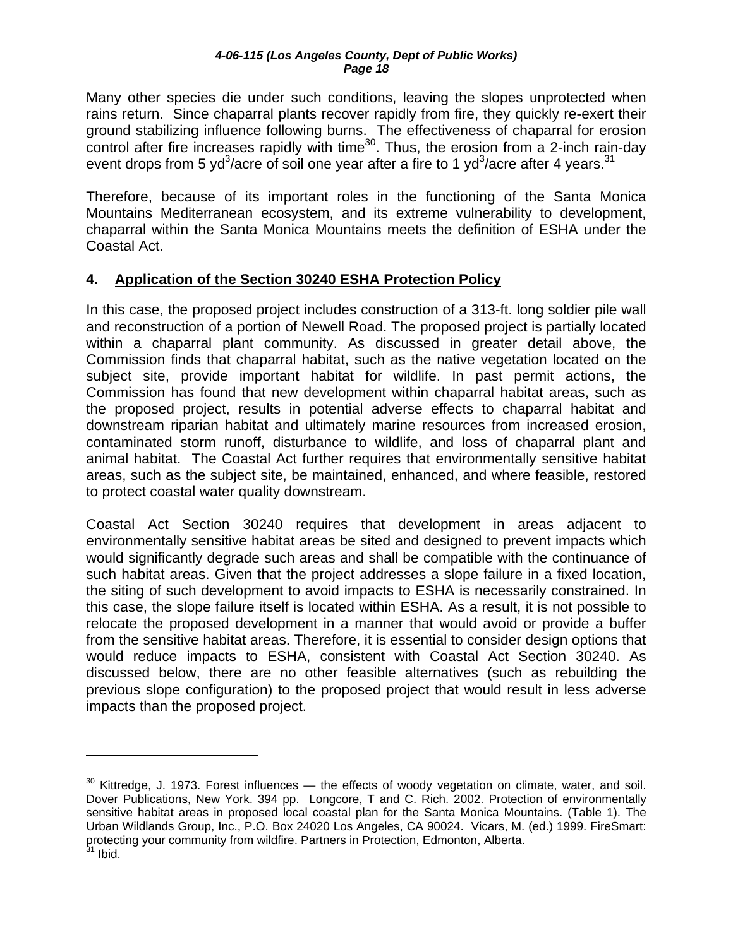<span id="page-18-0"></span>Many other species die under such conditions, leaving the slopes unprotected when rains return. Since chaparral plants recover rapidly from fire, they quickly re-exert their ground stabilizing influence following burns. The effectiveness of chaparral for erosion control after fire increases rapidly with time<sup>30</sup>. Thus, the erosion from a 2-inch rain-day event drops from 5 yd<sup>3</sup>/acre of soil one year after a fire to 1 yd<sup>3</sup>/acre after 4 years.<sup>31</sup>

Therefore, because of its important roles in the functioning of the Santa Monica Mountains Mediterranean ecosystem, and its extreme vulnerability to development, chaparral within the Santa Monica Mountains meets the definition of ESHA under the Coastal Act.

### **4. Application of the Section 30240 ESHA Protection Policy**

In this case, the proposed project includes construction of a 313-ft. long soldier pile wall and reconstruction of a portion of Newell Road. The proposed project is partially located within a chaparral plant community. As discussed in greater detail above, the Commission finds that chaparral habitat, such as the native vegetation located on the subject site, provide important habitat for wildlife. In past permit actions, the Commission has found that new development within chaparral habitat areas, such as the proposed project, results in potential adverse effects to chaparral habitat and downstream riparian habitat and ultimately marine resources from increased erosion, contaminated storm runoff, disturbance to wildlife, and loss of chaparral plant and animal habitat. The Coastal Act further requires that environmentally sensitive habitat areas, such as the subject site, be maintained, enhanced, and where feasible, restored to protect coastal water quality downstream.

Coastal Act Section 30240 requires that development in areas adjacent to environmentally sensitive habitat areas be sited and designed to prevent impacts which would significantly degrade such areas and shall be compatible with the continuance of such habitat areas. Given that the project addresses a slope failure in a fixed location, the siting of such development to avoid impacts to ESHA is necessarily constrained. In this case, the slope failure itself is located within ESHA. As a result, it is not possible to relocate the proposed development in a manner that would avoid or provide a buffer from the sensitive habitat areas. Therefore, it is essential to consider design options that would reduce impacts to ESHA, consistent with Coastal Act Section 30240. As discussed below, there are no other feasible alternatives (such as rebuilding the previous slope configuration) to the proposed project that would result in less adverse impacts than the proposed project.

 $\overline{a}$ 

<span id="page-18-2"></span><span id="page-18-1"></span> $30$  Kittredge, J. 1973. Forest influences  $-$  the effects of woody vegetation on climate, water, and soil. Dover Publications, New York. 394 pp. Longcore, T and C. Rich. 2002. Protection of environmentally sensitive habitat areas in proposed local coastal plan for the Santa Monica Mountains. (Table 1). The Urban Wildlands Group, Inc., P.O. Box 24020 Los Angeles, CA 90024. Vicars, M. (ed.) 1999. FireSmart: protecting your community from wildfire. Partners in Protection, Edmonton, Alberta.  $^1$  Ibid.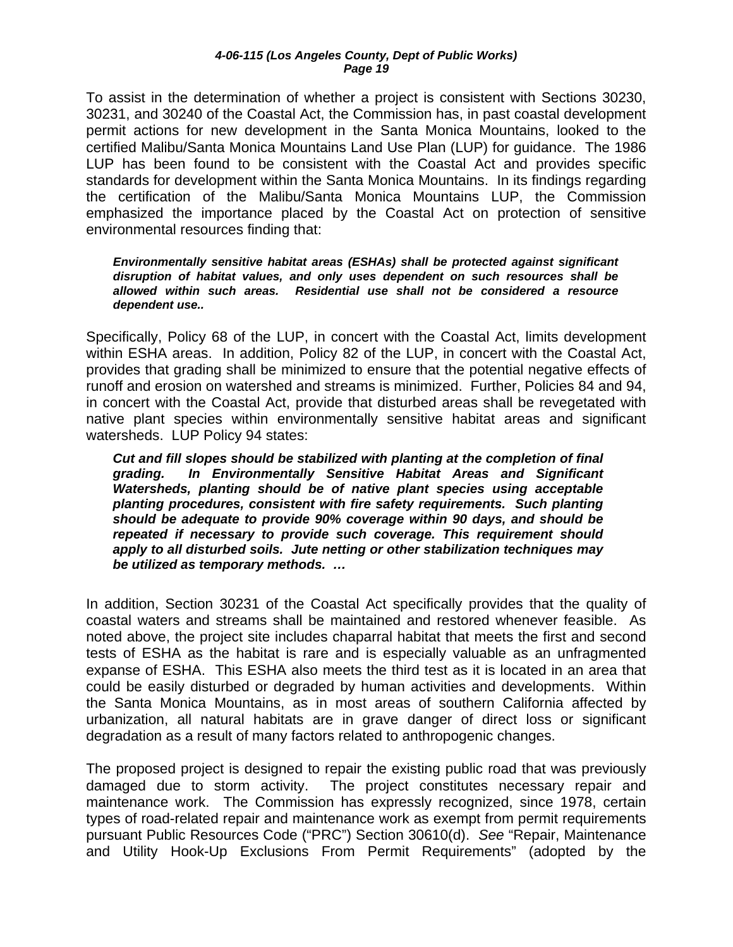To assist in the determination of whether a project is consistent with Sections 30230, 30231, and 30240 of the Coastal Act, the Commission has, in past coastal development permit actions for new development in the Santa Monica Mountains, looked to the certified Malibu/Santa Monica Mountains Land Use Plan (LUP) for guidance. The 1986 LUP has been found to be consistent with the Coastal Act and provides specific standards for development within the Santa Monica Mountains. In its findings regarding the certification of the Malibu/Santa Monica Mountains LUP, the Commission emphasized the importance placed by the Coastal Act on protection of sensitive environmental resources finding that:

*Environmentally sensitive habitat areas (ESHAs) shall be protected against significant disruption of habitat values, and only uses dependent on such resources shall be allowed within such areas. Residential use shall not be considered a resource dependent use..* 

Specifically, Policy 68 of the LUP, in concert with the Coastal Act, limits development within ESHA areas. In addition, Policy 82 of the LUP, in concert with the Coastal Act, provides that grading shall be minimized to ensure that the potential negative effects of runoff and erosion on watershed and streams is minimized. Further, Policies 84 and 94, in concert with the Coastal Act, provide that disturbed areas shall be revegetated with native plant species within environmentally sensitive habitat areas and significant watersheds. LUP Policy 94 states:

*Cut and fill slopes should be stabilized with planting at the completion of final grading. In Environmentally Sensitive Habitat Areas and Significant Watersheds, planting should be of native plant species using acceptable planting procedures, consistent with fire safety requirements. Such planting should be adequate to provide 90% coverage within 90 days, and should be repeated if necessary to provide such coverage. This requirement should apply to all disturbed soils. Jute netting or other stabilization techniques may be utilized as temporary methods. …* 

In addition, Section 30231 of the Coastal Act specifically provides that the quality of coastal waters and streams shall be maintained and restored whenever feasible. As noted above, the project site includes chaparral habitat that meets the first and second tests of ESHA as the habitat is rare and is especially valuable as an unfragmented expanse of ESHA. This ESHA also meets the third test as it is located in an area that could be easily disturbed or degraded by human activities and developments. Within the Santa Monica Mountains, as in most areas of southern California affected by urbanization, all natural habitats are in grave danger of direct loss or significant degradation as a result of many factors related to anthropogenic changes.

The proposed project is designed to repair the existing public road that was previously damaged due to storm activity. The project constitutes necessary repair and maintenance work. The Commission has expressly recognized, since 1978, certain types of road-related repair and maintenance work as exempt from permit requirements pursuant Public Resources Code ("PRC") Section 30610(d). *See* "Repair, Maintenance and Utility Hook-Up Exclusions From Permit Requirements" (adopted by the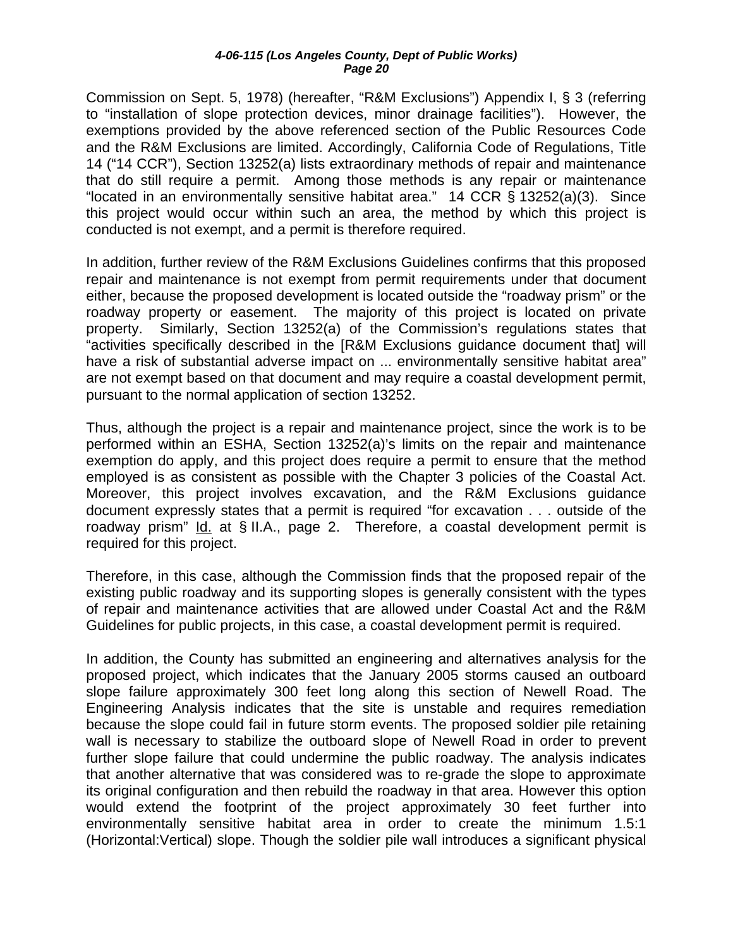Commission on Sept. 5, 1978) (hereafter, "R&M Exclusions") Appendix I, § 3 (referring to "installation of slope protection devices, minor drainage facilities"). However, the exemptions provided by the above referenced section of the Public Resources Code and the R&M Exclusions are limited. Accordingly, California Code of Regulations, Title 14 ("14 CCR"), Section 13252(a) lists extraordinary methods of repair and maintenance that do still require a permit. Among those methods is any repair or maintenance "located in an environmentally sensitive habitat area." 14 CCR § 13252(a)(3). Since this project would occur within such an area, the method by which this project is conducted is not exempt, and a permit is therefore required.

In addition, further review of the R&M Exclusions Guidelines confirms that this proposed repair and maintenance is not exempt from permit requirements under that document either, because the proposed development is located outside the "roadway prism" or the roadway property or easement. The majority of this project is located on private property. Similarly, Section 13252(a) of the Commission's regulations states that "activities specifically described in the [R&M Exclusions guidance document that] will have a risk of substantial adverse impact on ... environmentally sensitive habitat area" are not exempt based on that document and may require a coastal development permit, pursuant to the normal application of section 13252.

Thus, although the project is a repair and maintenance project, since the work is to be performed within an ESHA, Section 13252(a)'s limits on the repair and maintenance exemption do apply, and this project does require a permit to ensure that the method employed is as consistent as possible with the Chapter 3 policies of the Coastal Act. Moreover, this project involves excavation, and the R&M Exclusions guidance document expressly states that a permit is required "for excavation . . . outside of the roadway prism" *Id.* at § II.A., page 2. Therefore, a coastal development permit is required for this project.

Therefore, in this case, although the Commission finds that the proposed repair of the existing public roadway and its supporting slopes is generally consistent with the types of repair and maintenance activities that are allowed under Coastal Act and the R&M Guidelines for public projects, in this case, a coastal development permit is required.

In addition, the County has submitted an engineering and alternatives analysis for the proposed project, which indicates that the January 2005 storms caused an outboard slope failure approximately 300 feet long along this section of Newell Road. The Engineering Analysis indicates that the site is unstable and requires remediation because the slope could fail in future storm events. The proposed soldier pile retaining wall is necessary to stabilize the outboard slope of Newell Road in order to prevent further slope failure that could undermine the public roadway. The analysis indicates that another alternative that was considered was to re-grade the slope to approximate its original configuration and then rebuild the roadway in that area. However this option would extend the footprint of the project approximately 30 feet further into environmentally sensitive habitat area in order to create the minimum 1.5:1 (Horizontal:Vertical) slope. Though the soldier pile wall introduces a significant physical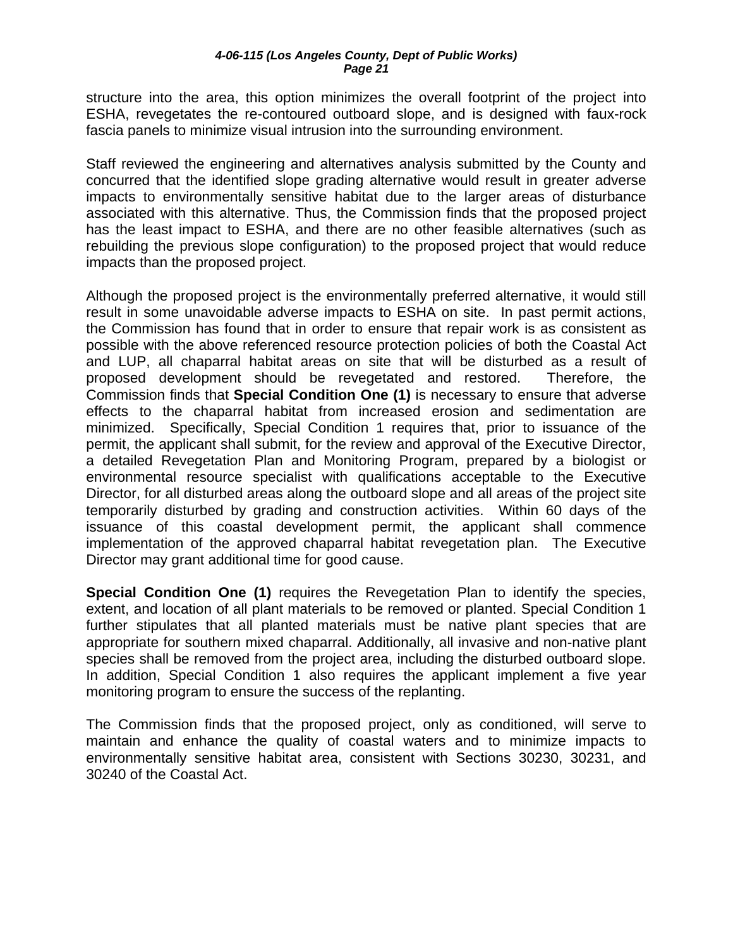structure into the area, this option minimizes the overall footprint of the project into ESHA, revegetates the re-contoured outboard slope, and is designed with faux-rock fascia panels to minimize visual intrusion into the surrounding environment.

Staff reviewed the engineering and alternatives analysis submitted by the County and concurred that the identified slope grading alternative would result in greater adverse impacts to environmentally sensitive habitat due to the larger areas of disturbance associated with this alternative. Thus, the Commission finds that the proposed project has the least impact to ESHA, and there are no other feasible alternatives (such as rebuilding the previous slope configuration) to the proposed project that would reduce impacts than the proposed project.

Although the proposed project is the environmentally preferred alternative, it would still result in some unavoidable adverse impacts to ESHA on site. In past permit actions, the Commission has found that in order to ensure that repair work is as consistent as possible with the above referenced resource protection policies of both the Coastal Act and LUP, all chaparral habitat areas on site that will be disturbed as a result of proposed development should be revegetated and restored. Therefore, the Commission finds that **Special Condition One ([1](#page-5-0))** is necessary to ensure that adverse effects to the chaparral habitat from increased erosion and sedimentation are minimized. Specifically, Special Condition 1 requires that, prior to issuance of the permit, the applicant shall submit, for the review and approval of the Executive Director, a detailed Revegetation Plan and Monitoring Program, prepared by a biologist or environmental resource specialist with qualifications acceptable to the Executive Director, for all disturbed areas along the outboard slope and all areas of the project site temporarily disturbed by grading and construction activities. Within 60 days of the issuance of this coastal development permit, the applicant shall commence implementation of the approved chaparral habitat revegetation plan. The Executive Director may grant additional time for good cause.

**Special Condition One (1)** requires the Revegetation Plan to identify the species, extent, and location of all plant materials to be removed or planted. Special Condition 1 further stipulates that all planted materials must be native plant species that are appropriate for southern mixed chaparral. Additionally, all invasive and non-native plant species shall be removed from the project area, including the disturbed outboard slope. In addition, Special Condition 1 also requires the applicant implement a five year monitoring program to ensure the success of the replanting.

The Commission finds that the proposed project, only as conditioned, will serve to maintain and enhance the quality of coastal waters and to minimize impacts to environmentally sensitive habitat area, consistent with Sections 30230, 30231, and 30240 of the Coastal Act.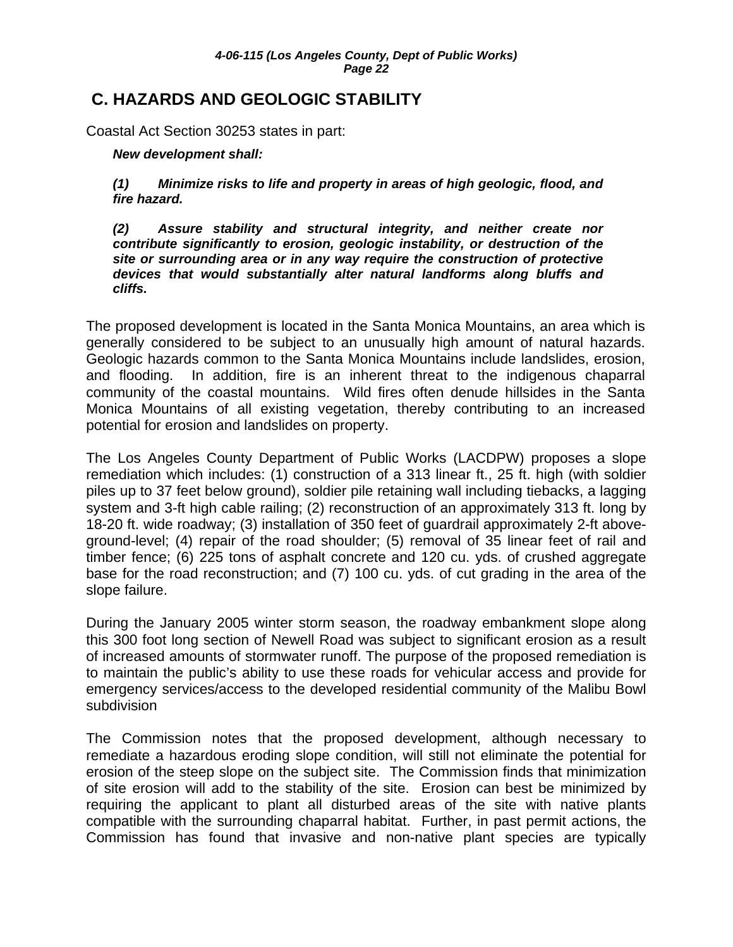## <span id="page-22-0"></span>**C. HAZARDS AND GEOLOGIC STABILITY**

Coastal Act Section 30253 states in part:

#### *New development shall:*

*(1) Minimize risks to life and property in areas of high geologic, flood, and fire hazard.* 

*(2) Assure stability and structural integrity, and neither create nor contribute significantly to erosion, geologic instability, or destruction of the site or surrounding area or in any way require the construction of protective devices that would substantially alter natural landforms along bluffs and cliffs.* 

The proposed development is located in the Santa Monica Mountains, an area which is generally considered to be subject to an unusually high amount of natural hazards. Geologic hazards common to the Santa Monica Mountains include landslides, erosion, and flooding. In addition, fire is an inherent threat to the indigenous chaparral community of the coastal mountains. Wild fires often denude hillsides in the Santa Monica Mountains of all existing vegetation, thereby contributing to an increased potential for erosion and landslides on property.

The Los Angeles County Department of Public Works (LACDPW) proposes a slope remediation which includes: (1) construction of a 313 linear ft., 25 ft. high (with soldier piles up to 37 feet below ground), soldier pile retaining wall including tiebacks, a lagging system and 3-ft high cable railing; (2) reconstruction of an approximately 313 ft. long by 18-20 ft. wide roadway; (3) installation of 350 feet of guardrail approximately 2-ft aboveground-level; (4) repair of the road shoulder; (5) removal of 35 linear feet of rail and timber fence; (6) 225 tons of asphalt concrete and 120 cu. yds. of crushed aggregate base for the road reconstruction; and (7) 100 cu. yds. of cut grading in the area of the slope failure.

During the January 2005 winter storm season, the roadway embankment slope along this 300 foot long section of Newell Road was subject to significant erosion as a result of increased amounts of stormwater runoff. The purpose of the proposed remediation is to maintain the public's ability to use these roads for vehicular access and provide for emergency services/access to the developed residential community of the Malibu Bowl subdivision

The Commission notes that the proposed development, although necessary to remediate a hazardous eroding slope condition, will still not eliminate the potential for erosion of the steep slope on the subject site. The Commission finds that minimization of site erosion will add to the stability of the site. Erosion can best be minimized by requiring the applicant to plant all disturbed areas of the site with native plants compatible with the surrounding chaparral habitat. Further, in past permit actions, the Commission has found that invasive and non-native plant species are typically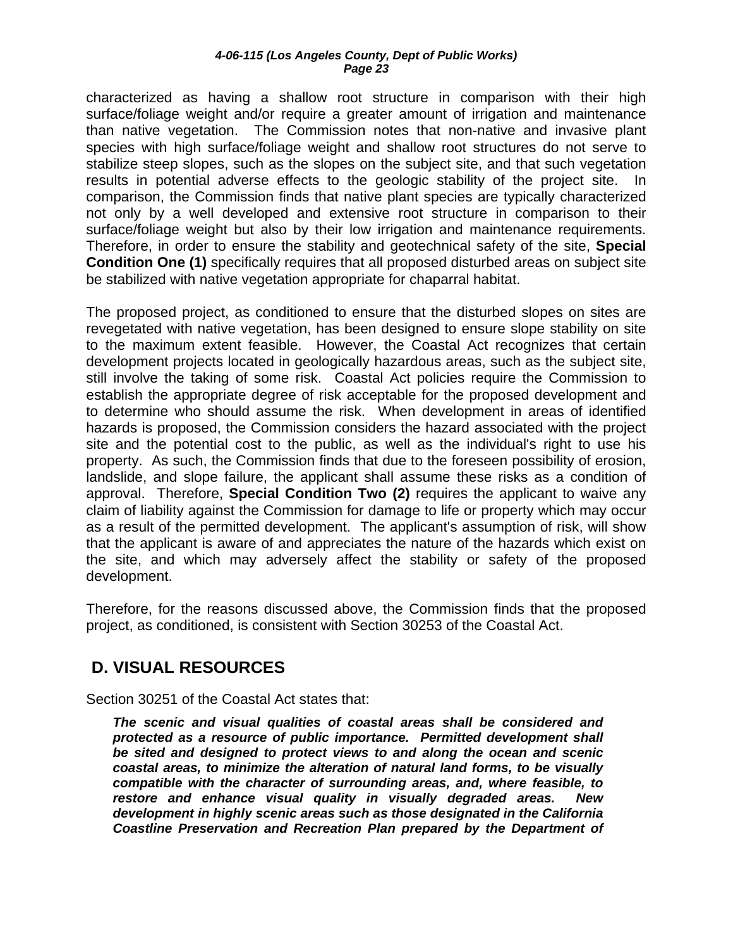<span id="page-23-0"></span>characterized as having a shallow root structure in comparison with their high surface/foliage weight and/or require a greater amount of irrigation and maintenance than native vegetation. The Commission notes that non-native and invasive plant species with high surface/foliage weight and shallow root structures do not serve to stabilize steep slopes, such as the slopes on the subject site, and that such vegetation results in potential adverse effects to the geologic stability of the project site. In comparison, the Commission finds that native plant species are typically characterized not only by a well developed and extensive root structure in comparison to their surface/foliage weight but also by their low irrigation and maintenance requirements. Therefore, in order to ensure the stability and geotechnical safety of the site, **Special Condition One (1)** specifically requires that all proposed disturbed areas on subject site be stabilized with native vegetation appropriate for chaparral habitat.

The proposed project, as conditioned to ensure that the disturbed slopes on sites are revegetated with native vegetation, has been designed to ensure slope stability on site to the maximum extent feasible. However, the Coastal Act recognizes that certain development projects located in geologically hazardous areas, such as the subject site, still involve the taking of some risk. Coastal Act policies require the Commission to establish the appropriate degree of risk acceptable for the proposed development and to determine who should assume the risk. When development in areas of identified hazards is proposed, the Commission considers the hazard associated with the project site and the potential cost to the public, as well as the individual's right to use his property. As such, the Commission finds that due to the foreseen possibility of erosion, landslide, and slope failure, the applicant shall assume these risks as a condition of approval. Therefore, **Special Condition Two (2)** requires the applicant to waive any claim of liability against the Commission for damage to life or property which may occur as a result of the permitted development. The applicant's assumption of risk, will show that the applicant is aware of and appreciates the nature of the hazards which exist on the site, and which may adversely affect the stability or safety of the proposed development.

Therefore, for the reasons discussed above, the Commission finds that the proposed project, as conditioned, is consistent with Section 30253 of the Coastal Act.

# **D. VISUAL RESOURCES**

Section 30251 of the Coastal Act states that:

*The scenic and visual qualities of coastal areas shall be considered and protected as a resource of public importance. Permitted development shall be sited and designed to protect views to and along the ocean and scenic coastal areas, to minimize the alteration of natural land forms, to be visually compatible with the character of surrounding areas, and, where feasible, to restore and enhance visual quality in visually degraded areas. New development in highly scenic areas such as those designated in the California Coastline Preservation and Recreation Plan prepared by the Department of*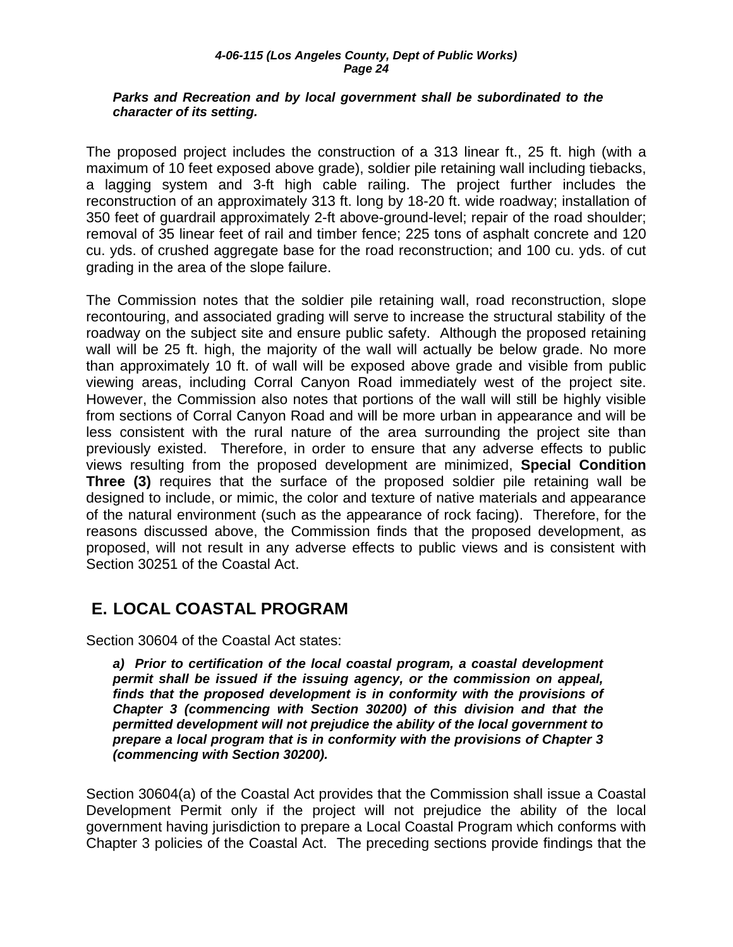#### <span id="page-24-0"></span>*Parks and Recreation and by local government shall be subordinated to the character of its setting.*

The proposed project includes the construction of a 313 linear ft., 25 ft. high (with a maximum of 10 feet exposed above grade), soldier pile retaining wall including tiebacks, a lagging system and 3-ft high cable railing. The project further includes the reconstruction of an approximately 313 ft. long by 18-20 ft. wide roadway; installation of 350 feet of guardrail approximately 2-ft above-ground-level; repair of the road shoulder; removal of 35 linear feet of rail and timber fence; 225 tons of asphalt concrete and 120 cu. yds. of crushed aggregate base for the road reconstruction; and 100 cu. yds. of cut grading in the area of the slope failure.

The Commission notes that the soldier pile retaining wall, road reconstruction, slope recontouring, and associated grading will serve to increase the structural stability of the roadway on the subject site and ensure public safety. Although the proposed retaining wall will be 25 ft. high, the majority of the wall will actually be below grade. No more than approximately 10 ft. of wall will be exposed above grade and visible from public viewing areas, including Corral Canyon Road immediately west of the project site. However, the Commission also notes that portions of the wall will still be highly visible from sections of Corral Canyon Road and will be more urban in appearance and will be less consistent with the rural nature of the area surrounding the project site than previously existed. Therefore, in order to ensure that any adverse effects to public views resulting from the proposed development are minimized, **Special Condition Three (3)** requires that the surface of the proposed soldier pile retaining wall be designed to include, or mimic, the color and texture of native materials and appearance of the natural environment (such as the appearance of rock facing). Therefore, for the reasons discussed above, the Commission finds that the proposed development, as proposed, will not result in any adverse effects to public views and is consistent with Section 30251 of the Coastal Act.

## **E. LOCAL COASTAL PROGRAM**

Section 30604 of the Coastal Act states:

*a) Prior to certification of the local coastal program, a coastal development permit shall be issued if the issuing agency, or the commission on appeal, finds that the proposed development is in conformity with the provisions of Chapter 3 (commencing with Section 30200) of this division and that the permitted development will not prejudice the ability of the local government to prepare a local program that is in conformity with the provisions of Chapter 3 (commencing with Section 30200).* 

Section 30604(a) of the Coastal Act provides that the Commission shall issue a Coastal Development Permit only if the project will not prejudice the ability of the local government having jurisdiction to prepare a Local Coastal Program which conforms with Chapter 3 policies of the Coastal Act. The preceding sections provide findings that the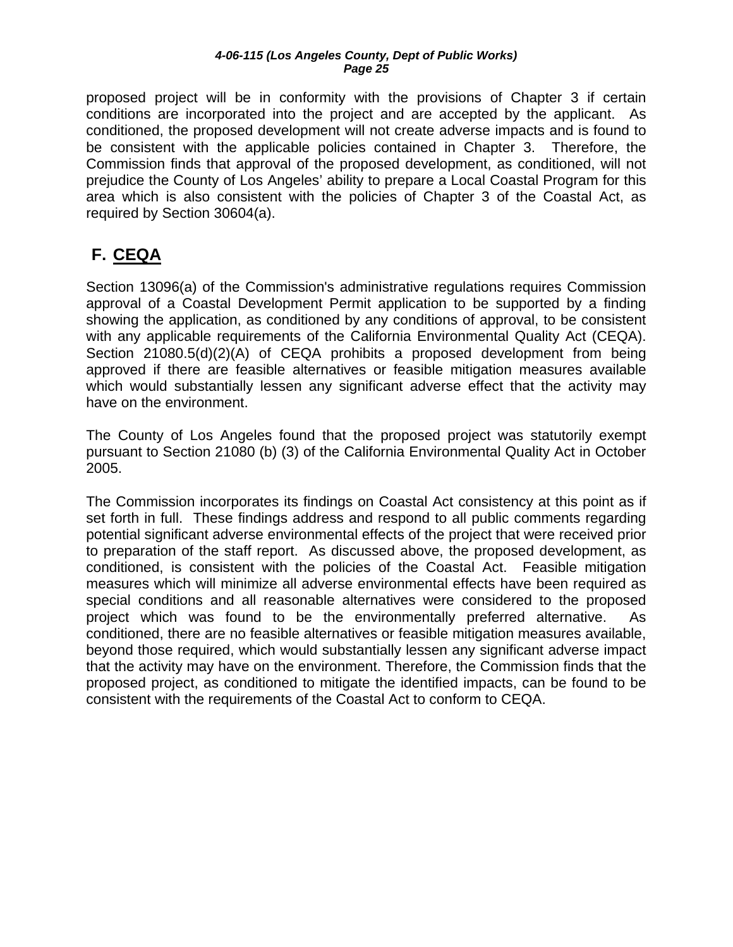<span id="page-25-0"></span>proposed project will be in conformity with the provisions of Chapter 3 if certain conditions are incorporated into the project and are accepted by the applicant. As conditioned, the proposed development will not create adverse impacts and is found to be consistent with the applicable policies contained in Chapter 3. Therefore, the Commission finds that approval of the proposed development, as conditioned, will not prejudice the County of Los Angeles' ability to prepare a Local Coastal Program for this area which is also consistent with the policies of Chapter 3 of the Coastal Act, as required by Section 30604(a).

# **F. CEQA**

Section 13096(a) of the Commission's administrative regulations requires Commission approval of a Coastal Development Permit application to be supported by a finding showing the application, as conditioned by any conditions of approval, to be consistent with any applicable requirements of the California Environmental Quality Act (CEQA). Section 21080.5(d)(2)(A) of CEQA prohibits a proposed development from being approved if there are feasible alternatives or feasible mitigation measures available which would substantially lessen any significant adverse effect that the activity may have on the environment.

The County of Los Angeles found that the proposed project was statutorily exempt pursuant to Section 21080 (b) (3) of the California Environmental Quality Act in October 2005.

The Commission incorporates its findings on Coastal Act consistency at this point as if set forth in full. These findings address and respond to all public comments regarding potential significant adverse environmental effects of the project that were received prior to preparation of the staff report. As discussed above, the proposed development, as conditioned, is consistent with the policies of the Coastal Act. Feasible mitigation measures which will minimize all adverse environmental effects have been required as special conditions and all reasonable alternatives were considered to the proposed project which was found to be the environmentally preferred alternative. As conditioned, there are no feasible alternatives or feasible mitigation measures available, beyond those required, which would substantially lessen any significant adverse impact that the activity may have on the environment. Therefore, the Commission finds that the proposed project, as conditioned to mitigate the identified impacts, can be found to be consistent with the requirements of the Coastal Act to conform to CEQA.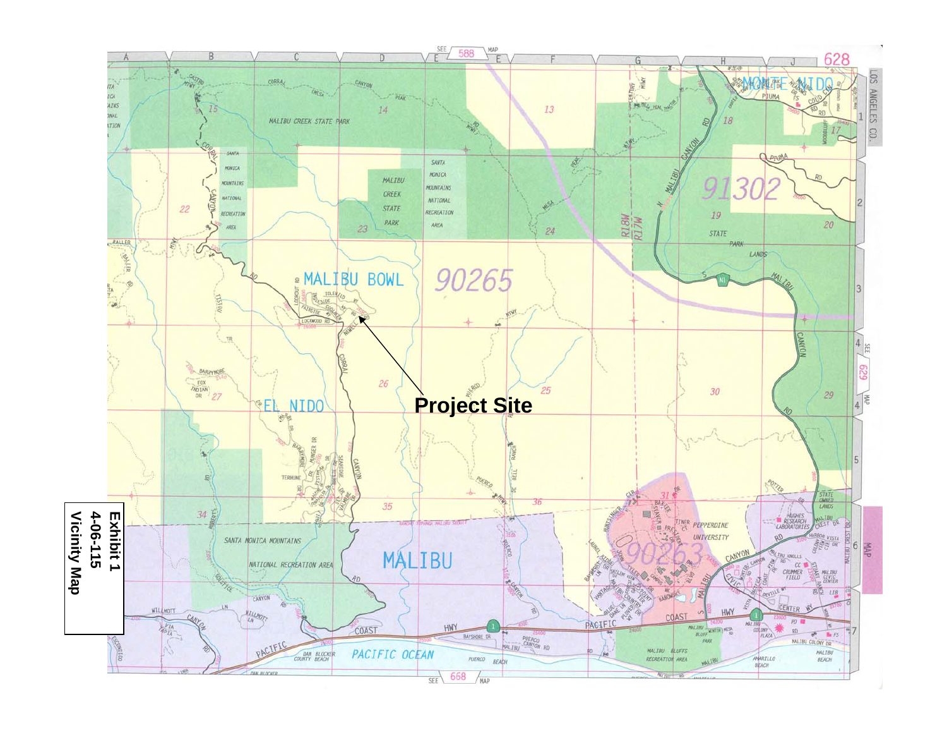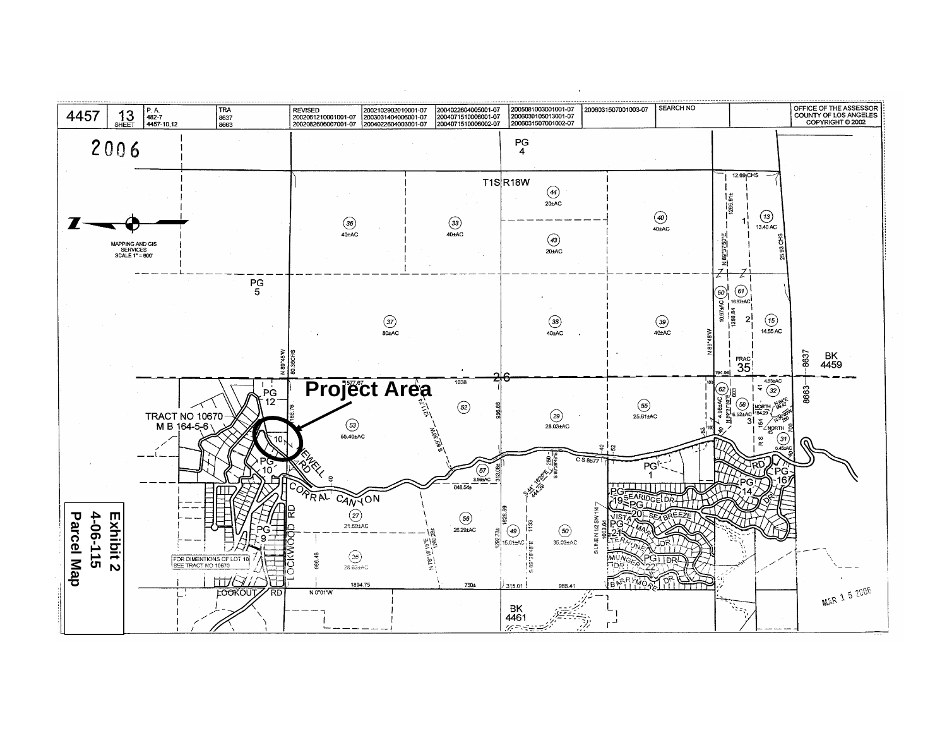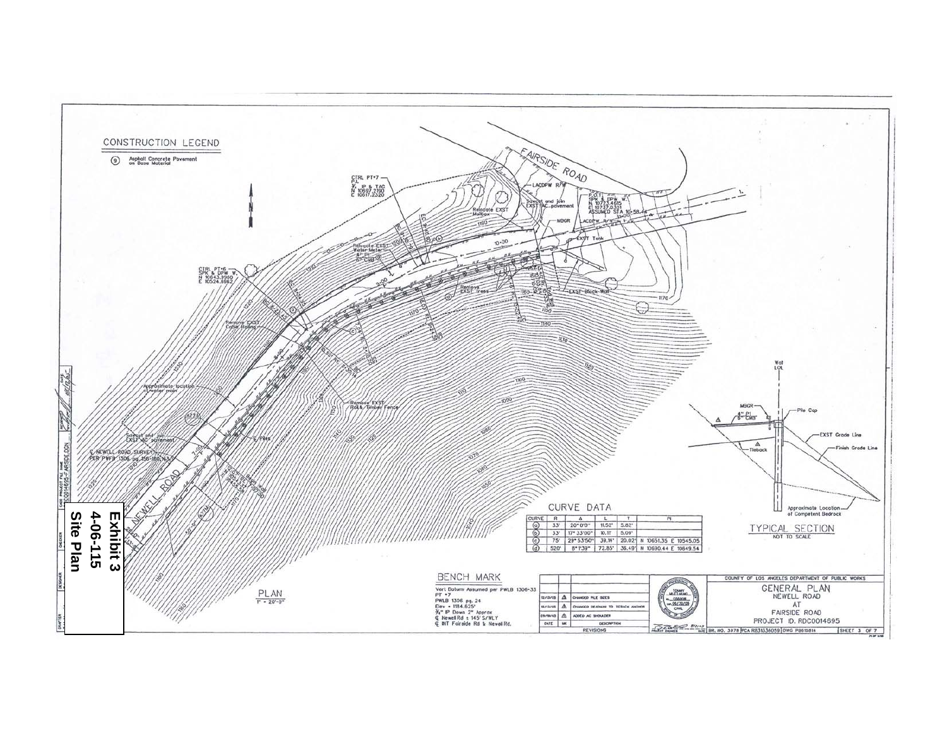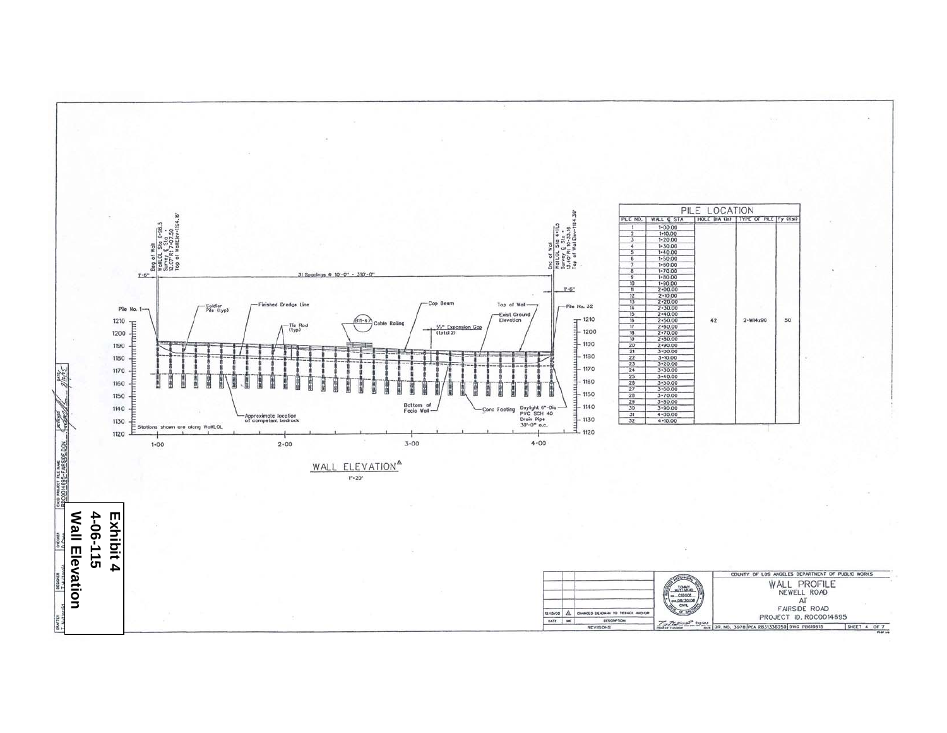